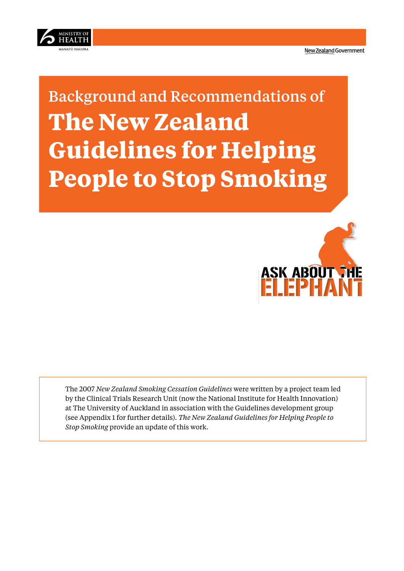<span id="page-0-0"></span>

# Background and Recommendations of **The New Zealand Guidelines for Helping People to Stop Smoking**



The 2007 *New Zealand Smoking Cessation Guidelines* were written by a project team led by the Clinical Trials Research Unit (now the National Institute for Health Innovation) at The University of Auckland in association with the Guidelines development group (see Appendix 1 for further details). *The New Zealand Guidelines for Helping People to Stop Smoking* provide an update of this work.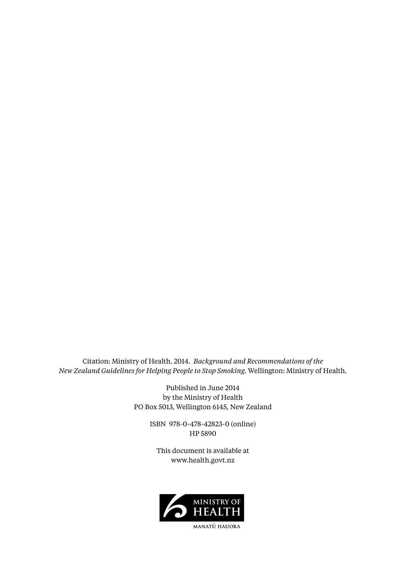Citation: Ministry of Health. 2014. *Background and Recommendations of the New Zealand Guidelines for Helping People to Stop Smoking.* Wellington: Ministry of Health.

> Published in June 2014 by the Ministry of Health PO Box 5013, Wellington 6145, New Zealand

> > ISBN 978-0-478-42823-0 (online) HP 5890

This document is available at www.health.govt.nz



MANATŪ HAUORA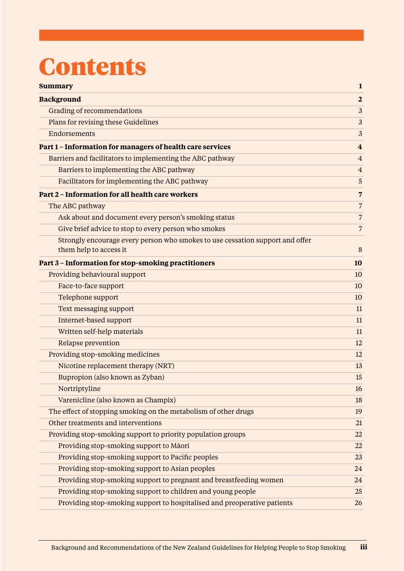# **Content[s](#page-0-0)**

| <b>Summary</b>                                                                                          | $\mathbf{1}$            |
|---------------------------------------------------------------------------------------------------------|-------------------------|
| <b>Background</b>                                                                                       | $\overline{2}$          |
| Grading of recommendations                                                                              | 3                       |
| Plans for revising these Guidelines                                                                     | 3                       |
| Endorsements                                                                                            | 3                       |
| Part 1 - Information for managers of health care services                                               | $\overline{\mathbf{4}}$ |
| Barriers and facilitators to implementing the ABC pathway                                               | $\overline{4}$          |
| Barriers to implementing the ABC pathway                                                                | $\overline{4}$          |
| Facilitators for implementing the ABC pathway                                                           | 5                       |
| Part 2 - Information for all health care workers                                                        | $\overline{7}$          |
| The ABC pathway                                                                                         | 7                       |
| Ask about and document every person's smoking status                                                    | $\overline{7}$          |
| Give brief advice to stop to every person who smokes                                                    | $\overline{7}$          |
| Strongly encourage every person who smokes to use cessation support and offer<br>them help to access it | 8                       |
| Part 3 - Information for stop-smoking practitioners                                                     | 10                      |
| Providing behavioural support                                                                           | 10                      |
| Face-to-face support                                                                                    | 10                      |
| Telephone support                                                                                       | 10                      |
| Text messaging support                                                                                  | 11                      |
| Internet-based support                                                                                  | 11                      |
| Written self-help materials                                                                             | 11                      |
| Relapse prevention                                                                                      | 12                      |
| Providing stop-smoking medicines                                                                        | 12                      |
| Nicotine replacement therapy (NRT)                                                                      | 13                      |
| Bupropion (also known as Zyban)                                                                         | 15                      |
| Nortriptyline                                                                                           | 16                      |
| Varenicline (also known as Champix)                                                                     | 18                      |
| The effect of stopping smoking on the metabolism of other drugs                                         | 19                      |
| Other treatments and interventions                                                                      | 21                      |
| Providing stop-smoking support to priority population groups                                            | 22                      |
| Providing stop-smoking support to Māori                                                                 | 22                      |
| Providing stop-smoking support to Pacific peoples                                                       | 23                      |
| Providing stop-smoking support to Asian peoples                                                         | 24                      |
| Providing stop-smoking support to pregnant and breastfeeding women                                      | 24                      |
| Providing stop-smoking support to children and young people                                             | 25                      |
| Providing stop-smoking support to hospitalised and preoperative patients                                | 26                      |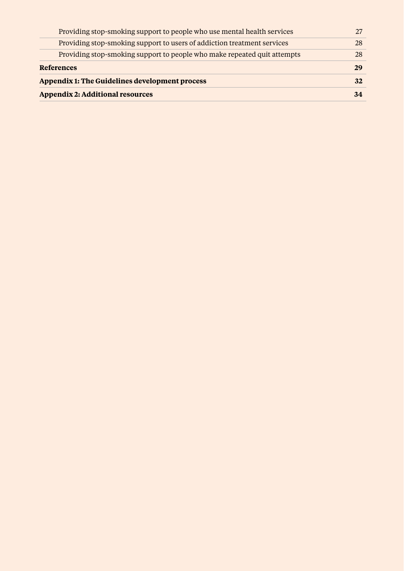| Providing stop-smoking support to people who use mental health services  |    |  |
|--------------------------------------------------------------------------|----|--|
| Providing stop-smoking support to users of addiction treatment services  | 28 |  |
| Providing stop-smoking support to people who make repeated quit attempts | 28 |  |
| <b>References</b>                                                        | 29 |  |
| Appendix 1: The Guidelines development process                           |    |  |
| <b>Appendix 2: Additional resources</b>                                  |    |  |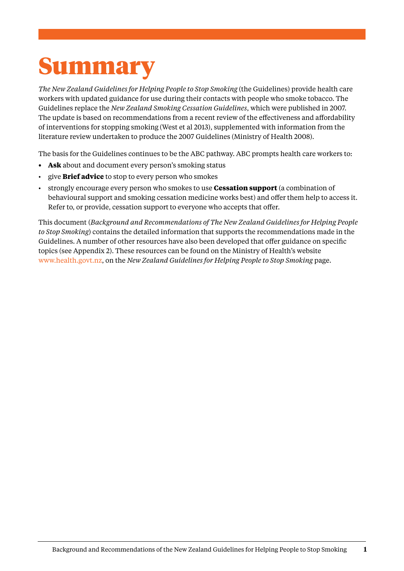# <span id="page-4-0"></span>Summary

*The New Zealand Guidelines for Helping People to Stop Smoking* (the Guidelines) provide health care workers with updated guidance for use during their contacts with people who smoke tobacco. The Guidelines replace the *New Zealand Smoking Cessation Guidelines*, which were published in 2007. The update is based on recommendations from a recent review of the effectiveness and affordability of interventions for stopping smoking (West et al 2013), supplemented with information from the literature review undertaken to produce the 2007 Guidelines (Ministry of Health 2008).

The basis for the Guidelines continues to be the ABC pathway. ABC prompts health care workers to:

- **• Ask** about and document every person's smoking status
- give **Brief advice** to stop to every person who smokes
- strongly encourage every person who smokes to use **Cessation support** (a combination of behavioural support and smoking cessation medicine works best) and offer them help to access it. Refer to, or provide, cessation support to everyone who accepts that offer.

This document (*Background and Recommendations of The New Zealand Guidelines for Helping People to Stop Smoking*) contains the detailed information that supports the recommendations made in the Guidelines. A number of other resources have also been developed that offer guidance on specific topics (see Appendix 2). These resources can be found on the Ministry of Health's website www.health.govt.nz, on the *New Zealand Guidelines for Helping People to Stop Smoking* page.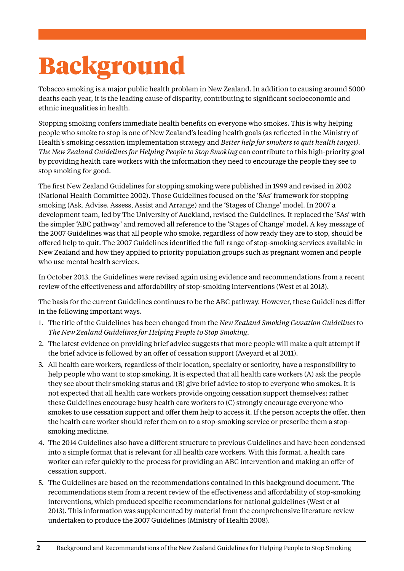# <span id="page-5-0"></span>Background

Tobacco smoking is a major public health problem in New Zealand. In addition to causing around 5000 deaths each year, it is the leading cause of disparity, contributing to significant socioeconomic and ethnic inequalities in health.

Stopping smoking confers immediate health benefits on everyone who smokes. This is why helping people who smoke to stop is one of New Zealand's leading health goals (as reflected in the Ministry of Health's smoking cessation implementation strategy and *Better help for smokers to quit health target). The New Zealand Guidelines for Helping People to Stop Smoking* can contribute to this high-priority goal by providing health care workers with the information they need to encourage the people they see to stop smoking for good.

The first New Zealand Guidelines for stopping smoking were published in 1999 and revised in 2002 (National Health Committee 2002). Those Guidelines focused on the '5As' framework for stopping smoking (Ask, Advise, Assess, Assist and Arrange) and the 'Stages of Change' model. In 2007 a development team, led by The University of Auckland, revised the Guidelines. It replaced the '5As' with the simpler 'ABC pathway' and removed all reference to the 'Stages of Change' model. A key message of the 2007 Guidelines was that all people who smoke, regardless of how ready they are to stop, should be offered help to quit. The 2007 Guidelines identified the full range of stop-smoking services available in New Zealand and how they applied to priority population groups such as pregnant women and people who use mental health services.

In October 2013, the Guidelines were revised again using evidence and recommendations from a recent review of the effectiveness and affordability of stop-smoking interventions (West et al 2013).

The basis for the current Guidelines continues to be the ABC pathway. However, these Guidelines differ in the following important ways.

- 1. The title of the Guidelines has been changed from the *New Zealand Smoking Cessation Guidelines* to *The New Zealand Guidelines for Helping People to Stop Smoking*.
- 2. The latest evidence on providing brief advice suggests that more people will make a quit attempt if the brief advice is followed by an offer of cessation support (Aveyard et al 2011).
- 3. All health care workers, regardless of their location, specialty or seniority, have a responsibility to help people who want to stop smoking. It is expected that all health care workers (A) ask the people they see about their smoking status and (B) give brief advice to stop to everyone who smokes. It is not expected that all health care workers provide ongoing cessation support themselves; rather these Guidelines encourage busy health care workers to (C) strongly encourage everyone who smokes to use cessation support and offer them help to access it. If the person accepts the offer, then the health care worker should refer them on to a stop-smoking service or prescribe them a stopsmoking medicine.
- 4. The 2014 Guidelines also have a different structure to previous Guidelines and have been condensed into a simple format that is relevant for all health care workers. With this format, a health care worker can refer quickly to the process for providing an ABC intervention and making an offer of cessation support.
- 5. The Guidelines are based on the recommendations contained in this background document. The recommendations stem from a recent review of the effectiveness and affordability of stop-smoking interventions, which produced specific recommendations for national guidelines (West et al 2013). This information was supplemented by material from the comprehensive literature review undertaken to produce the 2007 Guidelines (Ministry of Health 2008).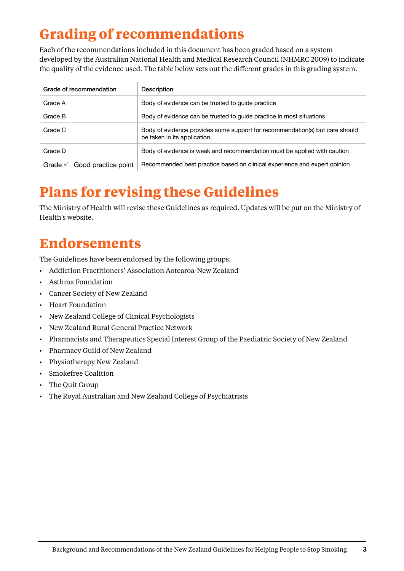# <span id="page-6-0"></span>**Grading of recommendations**

Each of the recommendations included in this document has been graded based on a system developed by the Australian National Health and Medical Research Council (NHMRC 2009) to indicate the quality of the evidence used. The table below sets out the different grades in this grading system.

| Grade of recommendation        | Description                                                                                                 |  |
|--------------------------------|-------------------------------------------------------------------------------------------------------------|--|
| Grade A                        | Body of evidence can be trusted to quide practice                                                           |  |
| Grade B                        | Body of evidence can be trusted to guide practice in most situations                                        |  |
| Grade C                        | Body of evidence provides some support for recommendation(s) but care should<br>be taken in its application |  |
| Grade D                        | Body of evidence is weak and recommendation must be applied with caution                                    |  |
| Good practice point<br>Grade √ | Recommended best practice based on clinical experience and expert opinion                                   |  |

# **Plans for revising these Guidelines**

The Ministry of Health will revise these Guidelines as required. Updates will be put on the Ministry of Health's website.

# **Endorsements**

The Guidelines have been endorsed by the following groups:

- • Addiction Practitioners' Association Aotearoa-New Zealand
- • Asthma Foundation
- • Cancer Society of New Zealand
- • Heart Foundation
- • New Zealand College of Clinical Psychologists
- • New Zealand Rural General Practice Network
- Pharmacists and Therapeutics Special Interest Group of the Paediatric Society of New Zealand
- • Pharmacy Guild of New Zealand
- • Physiotherapy New Zealand
- • Smokefree Coalition
- • The Quit Group
- • The Royal Australian and New Zealand College of Psychiatrists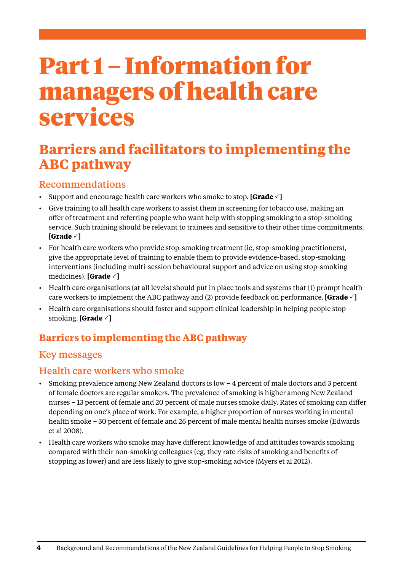# <span id="page-7-0"></span>Part 1 – Information for managers of health care services

# **Barriers and facilitators to implementing the ABC pathway**

# Recommendations

- Support and encourage health care workers who smoke to stop. **[Grade**  $\checkmark$  **]**
- • Give training to all health care workers to assist them in screening for tobacco use, making an offer of treatment and referring people who want help with stopping smoking to a stop-smoking service. Such training should be relevant to trainees and sensitive to their other time commitments. **[Grade** P**]**
- • For health care workers who provide stop-smoking treatment (ie, stop-smoking practitioners), give the appropriate level of training to enable them to provide evidence-based, stop-smoking interventions (including multi-session behavioural support and advice on using stop-smoking medicines). **[Grade** P**]**
- • Health care organisations (at all levels) should put in place tools and systems that (1) prompt health care workers to implement the ABC pathway and (2) provide feedback on performance. **[Grade**  $\checkmark$  ]
- Health care organisations should foster and support clinical leadership in helping people stop smoking. **[Grade** P**]**

# **Barriers to implementing the ABC pathway**

# Key messages

#### Health care workers who smoke

- • Smoking prevalence among New Zealand doctors is low 4 percent of male doctors and 3 percent of female doctors are regular smokers. The prevalence of smoking is higher among New Zealand nurses – 13 percent of female and 20 percent of male nurses smoke daily. Rates of smoking can differ depending on one's place of work. For example, a higher proportion of nurses working in mental health smoke – 30 percent of female and 26 percent of male mental health nurses smoke (Edwards et al 2008).
- Health care workers who smoke may have different knowledge of and attitudes towards smoking compared with their non-smoking colleagues (eg, they rate risks of smoking and benefits of stopping as lower) and are less likely to give stop-smoking advice (Myers et al 2012).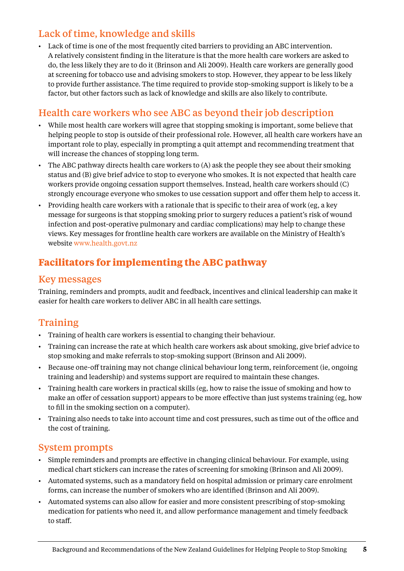# <span id="page-8-0"></span>Lack of time, knowledge and skills

• Lack of time is one of the most frequently cited barriers to providing an ABC intervention. A relatively consistent finding in the literature is that the more health care workers are asked to do, the less likely they are to do it (Brinson and Ali 2009). Health care workers are generally good at screening for tobacco use and advising smokers to stop. However, they appear to be less likely to provide further assistance. The time required to provide stop-smoking support is likely to be a factor, but other factors such as lack of knowledge and skills are also likely to contribute.

## Health care workers who see ABC as beyond their job description

- • While most health care workers will agree that stopping smoking is important, some believe that helping people to stop is outside of their professional role. However, all health care workers have an important role to play, especially in prompting a quit attempt and recommending treatment that will increase the chances of stopping long term.
- $\cdot$  The ABC pathway directs health care workers to (A) ask the people they see about their smoking status and (B) give brief advice to stop to everyone who smokes. It is not expected that health care workers provide ongoing cessation support themselves. Instead, health care workers should (C) strongly encourage everyone who smokes to use cessation support and offer them help to access it.
- • Providing health care workers with a rationale that is specific to their area of work (eg, a key message for surgeons is that stopping smoking prior to surgery reduces a patient's risk of wound infection and post-operative pulmonary and cardiac complications) may help to change these views. Key messages for frontline health care workers are available on the Ministry of Health's website www.health.govt.nz

# **Facilitators for implementing the ABC pathway**

#### Key messages

Training, reminders and prompts, audit and feedback, incentives and clinical leadership can make it easier for health care workers to deliver ABC in all health care settings.

# Training

- • Training of health care workers is essential to changing their behaviour.
- • Training can increase the rate at which health care workers ask about smoking, give brief advice to stop smoking and make referrals to stop-smoking support (Brinson and Ali 2009).
- Because one-off training may not change clinical behaviour long term, reinforcement (ie, ongoing training and leadership) and systems support are required to maintain these changes.
- • Training health care workers in practical skills (eg, how to raise the issue of smoking and how to make an offer of cessation support) appears to be more effective than just systems training (eg, how to fill in the smoking section on a computer).
- • Training also needs to take into account time and cost pressures, such as time out of the office and the cost of training.

#### System prompts

- • Simple reminders and prompts are effective in changing clinical behaviour. For example, using medical chart stickers can increase the rates of screening for smoking (Brinson and Ali 2009).
- • Automated systems, such as a mandatory field on hospital admission or primary care enrolment forms, can increase the number of smokers who are identified (Brinson and Ali 2009).
- • Automated systems can also allow for easier and more consistent prescribing of stop-smoking medication for patients who need it, and allow performance management and timely feedback to staff.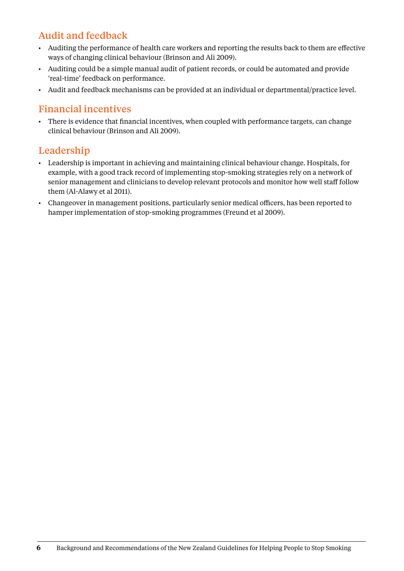# Audit and feedback

- • Auditing the performance of health care workers and reporting the results back to them are effective ways of changing clinical behaviour (Brinson and Ali 2009).
- • Auditing could be a simple manual audit of patient records, or could be automated and provide 'real-time' feedback on performance.
- • Audit and feedback mechanisms can be provided at an individual or departmental/practice level.

#### Financial incentives

• There is evidence that financial incentives, when coupled with performance targets, can change clinical behaviour (Brinson and Ali 2009).

### Leadership

- • Leadership is important in achieving and maintaining clinical behaviour change. Hospitals, for example, with a good track record of implementing stop-smoking strategies rely on a network of senior management and clinicians to develop relevant protocols and monitor how well staff follow them (Al-Alawy et al 2011).
- • Changeover in management positions, particularly senior medical officers, has been reported to hamper implementation of stop-smoking programmes (Freund et al 2009).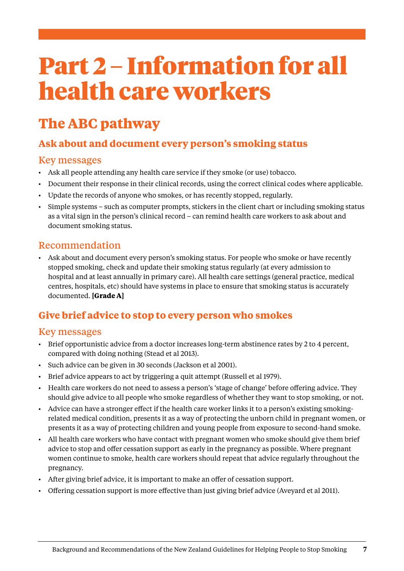# <span id="page-10-0"></span>Part 2 – Information for all health care workers

# **The ABC pathway**

# **Ask about and document every person's smoking status**

### Key messages

- • Ask all people attending any health care service if they smoke (or use) tobacco.
- • Document their response in their clinical records, using the correct clinical codes where applicable.
- • Update the records of anyone who smokes, or has recently stopped, regularly.
- • Simple systems such as computer prompts, stickers in the client chart or including smoking status as a vital sign in the person's clinical record – can remind health care workers to ask about and document smoking status.

## Recommendation

• Ask about and document every person's smoking status. For people who smoke or have recently stopped smoking, check and update their smoking status regularly (at every admission to hospital and at least annually in primary care). All health care settings (general practice, medical centres, hospitals, etc) should have systems in place to ensure that smoking status is accurately documented. **[Grade A]**

# **Give brief advice to stop to every person who smokes**

- Brief opportunistic advice from a doctor increases long-term abstinence rates by 2 to 4 percent, compared with doing nothing (Stead et al 2013).
- • Such advice can be given in 30 seconds (Jackson et al 2001).
- Brief advice appears to act by triggering a quit attempt (Russell et al 1979).
- • Health care workers do not need to assess a person's 'stage of change' before offering advice. They should give advice to all people who smoke regardless of whether they want to stop smoking, or not.
- • Advice can have a stronger effect if the health care worker links it to a person's existing smokingrelated medical condition, presents it as a way of protecting the unborn child in pregnant women, or presents it as a way of protecting children and young people from exposure to second-hand smoke.
- • All health care workers who have contact with pregnant women who smoke should give them brief advice to stop and offer cessation support as early in the pregnancy as possible. Where pregnant women continue to smoke, health care workers should repeat that advice regularly throughout the pregnancy.
- • After giving brief advice, it is important to make an offer of cessation support.
- • Offering cessation support is more effective than just giving brief advice (Aveyard et al 2011).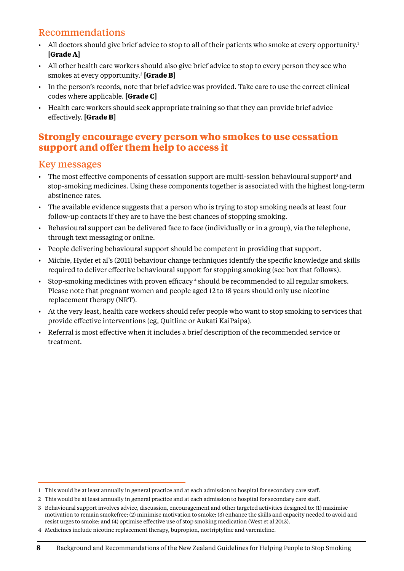# <span id="page-11-0"></span>Recommendations

- All doctors should give brief advice to stop to all of their patients who smoke at every opportunity.<sup>1</sup> **[Grade A]**
- • All other health care workers should also give brief advice to stop to every person they see who smokes at every opportunity.2 **[Grade B]**
- • In the person's records, note that brief advice was provided. Take care to use the correct clinical codes where applicable. **[Grade C]**
- • Health care workers should seek appropriate training so that they can provide brief advice effectively. **[Grade B]**

#### **Strongly encourage every person who smokes to use cessation support and offer them help to access it**

- The most effective components of cessation support are multi-session behavioural support<sup>3</sup> and stop-smoking medicines. Using these components together is associated with the highest long-term abstinence rates.
- The available evidence suggests that a person who is trying to stop smoking needs at least four follow-up contacts if they are to have the best chances of stopping smoking.
- • Behavioural support can be delivered face to face (individually or in a group), via the telephone, through text messaging or online.
- • People delivering behavioural support should be competent in providing that support.
- • Michie, Hyder et al's (2011) behaviour change techniques identify the specific knowledge and skills required to deliver effective behavioural support for stopping smoking (see box that follows).
- Stop-smoking medicines with proven efficacy 4 should be recommended to all regular smokers. Please note that pregnant women and people aged 12 to 18 years should only use nicotine replacement therapy (NRT).
- • At the very least, health care workers should refer people who want to stop smoking to services that provide effective interventions (eg, Quitline or Aukati KaiPaipa).
- • Referral is most effective when it includes a brief description of the recommended service or treatment.

<sup>1</sup> This would be at least annually in general practice and at each admission to hospital for secondary care staff.

<sup>2</sup> This would be at least annually in general practice and at each admission to hospital for secondary care staff.

<sup>3</sup> Behavioural support involves advice, discussion, encouragement and other targeted activities designed to: (1) maximise motivation to remain smokefree; (2) minimise motivation to smoke; (3) enhance the skills and capacity needed to avoid and resist urges to smoke; and (4) optimise effective use of stop smoking medication (West et al 2013).

<sup>4</sup> Medicines include nicotine replacement therapy, bupropion, nortriptyline and varenicline.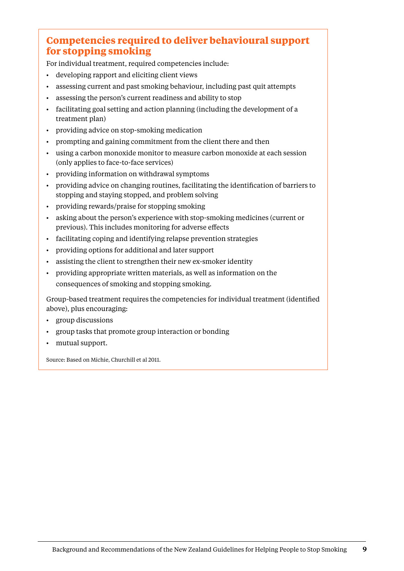# **Competencies required to deliver behavioural support for stopping smoking**

For individual treatment, required competencies include:

- • developing rapport and eliciting client views
- • assessing current and past smoking behaviour, including past quit attempts
- • assessing the person's current readiness and ability to stop
- • facilitating goal setting and action planning (including the development of a treatment plan)
- • providing advice on stop-smoking medication
- prompting and gaining commitment from the client there and then
- • using a carbon monoxide monitor to measure carbon monoxide at each session (only applies to face-to-face services)
- • providing information on withdrawal symptoms
- • providing advice on changing routines, facilitating the identification of barriers to stopping and staying stopped, and problem solving
- • providing rewards/praise for stopping smoking
- asking about the person's experience with stop-smoking medicines (current or previous). This includes monitoring for adverse effects
- facilitating coping and identifying relapse prevention strategies
- • providing options for additional and later support
- assisting the client to strengthen their new ex-smoker identity
- providing appropriate written materials, as well as information on the consequences of smoking and stopping smoking.

Group-based treatment requires the competencies for individual treatment (identified above), plus encouraging:

- group discussions
- group tasks that promote group interaction or bonding
- mutual support.

Source: Based on Michie, Churchill et al 2011.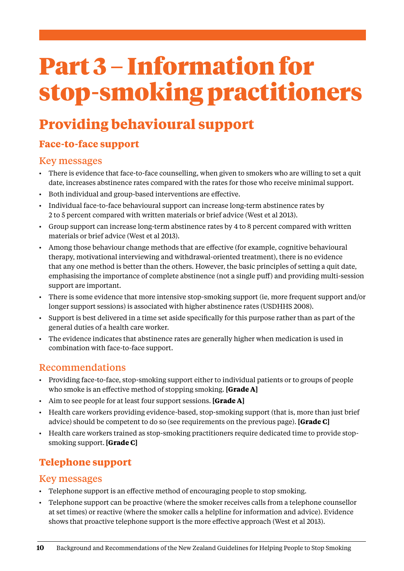# <span id="page-13-0"></span>Part 3 – Information for stop-smoking practitioners

# **Providing behavioural support**

# **Face-to-face support**

#### Key messages

- • There is evidence that face-to-face counselling, when given to smokers who are willing to set a quit date, increases abstinence rates compared with the rates for those who receive minimal support.
- • Both individual and group-based interventions are effective.
- • Individual face-to-face behavioural support can increase long-term abstinence rates by 2 to 5 percent compared with written materials or brief advice (West et al 2013).
- • Group support can increase long-term abstinence rates by 4 to 8 percent compared with written materials or brief advice (West et al 2013).
- • Among those behaviour change methods that are effective (for example, cognitive behavioural therapy, motivational interviewing and withdrawal-oriented treatment), there is no evidence that any one method is better than the others. However, the basic principles of setting a quit date, emphasising the importance of complete abstinence (not a single puff) and providing multi-session support are important.
- • There is some evidence that more intensive stop-smoking support (ie, more frequent support and/or longer support sessions) is associated with higher abstinence rates (USDHHS 2008).
- • Support is best delivered in a time set aside specifically for this purpose rather than as part of the general duties of a health care worker.
- • The evidence indicates that abstinence rates are generally higher when medication is used in combination with face-to-face support.

#### Recommendations

- • Providing face-to-face, stop-smoking support either to individual patients or to groups of people who smoke is an effective method of stopping smoking. **[Grade A]**
- • Aim to see people for at least four support sessions. **[Grade A]**
- • Health care workers providing evidence-based, stop-smoking support (that is, more than just brief advice) should be competent to do so (see requirements on the previous page). **[Grade C]**
- • Health care workers trained as stop-smoking practitioners require dedicated time to provide stopsmoking support. **[Grade C]**

# **Telephone support**

- • Telephone support is an effective method of encouraging people to stop smoking.
- • Telephone support can be proactive (where the smoker receives calls from a telephone counsellor at set times) or reactive (where the smoker calls a helpline for information and advice). Evidence shows that proactive telephone support is the more effective approach (West et al 2013).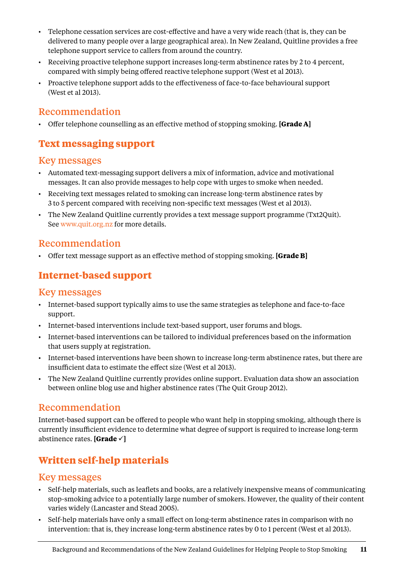- <span id="page-14-0"></span>• Telephone cessation services are cost-effective and have a very wide reach (that is, they can be delivered to many people over a large geographical area). In New Zealand, Quitline provides a free telephone support service to callers from around the country.
- • Receiving proactive telephone support increases long-term abstinence rates by 2 to 4 percent, compared with simply being offered reactive telephone support (West et al 2013).
- • Proactive telephone support adds to the effectiveness of face-to-face behavioural support (West et al 2013).

#### Recommendation

• Offer telephone counselling as an effective method of stopping smoking. **[Grade A]**

# **Text messaging support**

#### Key messages

- • Automated text-messaging support delivers a mix of information, advice and motivational messages. It can also provide messages to help cope with urges to smoke when needed.
- • Receiving text messages related to smoking can increase long-term abstinence rates by 3 to 5 percent compared with receiving non-specific text messages (West et al 2013).
- • The New Zealand Quitline currently provides a text message support programme (Txt2Quit). See [www.quit.org.nz](http://www.quit.org.nz) for more details.

### Recommendation

• Offer text message support as an effective method of stopping smoking. **[Grade B]**

# **Internet-based support**

#### Key messages

- • Internet-based support typically aims to use the same strategies as telephone and face-to-face support.
- Internet-based interventions include text-based support, user forums and blogs.
- • Internet-based interventions can be tailored to individual preferences based on the information that users supply at registration.
- • Internet-based interventions have been shown to increase long-term abstinence rates, but there are insufficient data to estimate the effect size (West et al 2013).
- • The New Zealand Quitline currently provides online support. Evaluation data show an association between online blog use and higher abstinence rates (The Quit Group 2012).

## Recommendation

Internet-based support can be offered to people who want help in stopping smoking, although there is currently insufficient evidence to determine what degree of support is required to increase long-term abstinence rates. **[Grade**  $\checkmark$ ]

# **Written self-help materials**

- • Self-help materials, such as leaflets and books, are a relatively inexpensive means of communicating stop-smoking advice to a potentially large number of smokers. However, the quality of their content varies widely (Lancaster and Stead 2005).
- • Self-help materials have only a small effect on long-term abstinence rates in comparison with no intervention: that is, they increase long-term abstinence rates by 0 to 1 percent (West et al 2013).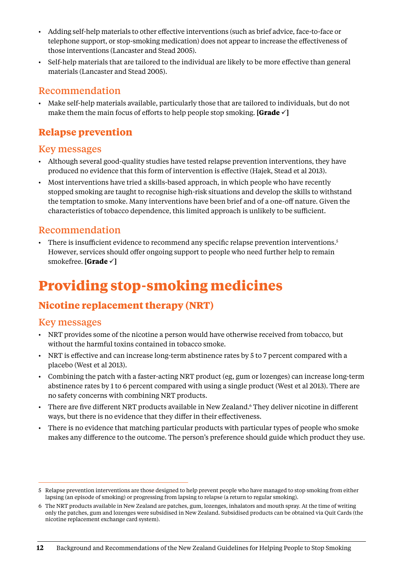- <span id="page-15-0"></span>• Adding self-help materials to other effective interventions (such as brief advice, face-to-face or telephone support, or stop-smoking medication) does not appear to increase the effectiveness of those interventions (Lancaster and Stead 2005).
- • Self-help materials that are tailored to the individual are likely to be more effective than general materials (Lancaster and Stead 2005).

#### Recommendation

• Make self-help materials available, particularly those that are tailored to individuals, but do not make them the main focus of efforts to help people stop smoking. **[Grade**  $\checkmark$ ]

# **Relapse prevention**

#### Key messages

- • Although several good-quality studies have tested relapse prevention interventions, they have produced no evidence that this form of intervention is effective (Hajek, Stead et al 2013).
- • Most interventions have tried a skills-based approach, in which people who have recently stopped smoking are taught to recognise high-risk situations and develop the skills to withstand the temptation to smoke. Many interventions have been brief and of a one-off nature. Given the characteristics of tobacco dependence, this limited approach is unlikely to be sufficient.

### Recommendation

There is insufficient evidence to recommend any specific relapse prevention interventions.<sup>5</sup> However, services should offer ongoing support to people who need further help to remain smokefree. **[Grade**  $\checkmark$ ]

# **Providing stop-smoking medicines**

# **Nicotine replacement therapy (NRT)**

- • NRT provides some of the nicotine a person would have otherwise received from tobacco, but without the harmful toxins contained in tobacco smoke.
- • NRT is effective and can increase long-term abstinence rates by 5 to 7 percent compared with a placebo (West et al 2013).
- • Combining the patch with a faster-acting NRT product (eg, gum or lozenges) can increase long-term abstinence rates by 1 to 6 percent compared with using a single product (West et al 2013). There are no safety concerns with combining NRT products.
- There are five different NRT products available in New Zealand.<sup>6</sup> They deliver nicotine in different ways, but there is no evidence that they differ in their effectiveness.
- There is no evidence that matching particular products with particular types of people who smoke makes any difference to the outcome. The person's preference should guide which product they use.

<sup>5</sup> Relapse prevention interventions are those designed to help prevent people who have managed to stop smoking from either lapsing (an episode of smoking) or progressing from lapsing to relapse (a return to regular smoking).

<sup>6</sup> The NRT products available in New Zealand are patches, gum, lozenges, inhalators and mouth spray. At the time of writing only the patches, gum and lozenges were subsidised in New Zealand. Subsidised products can be obtained via Quit Cards (the nicotine replacement exchange card system).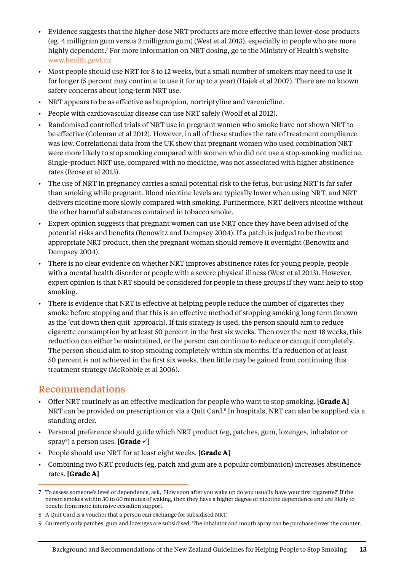- <span id="page-16-0"></span>• Evidence suggests that the higher-dose NRT products are more effective than lower-dose products (eg, 4 milligram gum versus 2 milligram gum) (West et al 2013), especially in people who are more highly dependent.7 For more information on NRT dosing, go to the Ministry of Health's website www.health.govt.nz
- • Most people should use NRT for 8 to 12 weeks, but a small number of smokers may need to use it for longer (5 percent may continue to use it for up to a year) (Hajek et al 2007). There are no known safety concerns about long-term NRT use.
- NRT appears to be as effective as bupropion, nortriptyline and varenicline.
- People with cardiovascular disease can use NRT safely (Woolf et al 2012).
- • Randomised controlled trials of NRT use in pregnant women who smoke have not shown NRT to be effective (Coleman et al 2012). However, in all of these studies the rate of treatment compliance was low. Correlational data from the UK show that pregnant women who used combination NRT were more likely to stop smoking compared with women who did not use a stop-smoking medicine. Single-product NRT use, compared with no medicine, was not associated with higher abstinence rates (Brose et al 2013).
- • The use of NRT in pregnancy carries a small potential risk to the fetus, but using NRT is far safer than smoking while pregnant. Blood nicotine levels are typically lower when using NRT, and NRT delivers nicotine more slowly compared with smoking. Furthermore, NRT delivers nicotine without the other harmful substances contained in tobacco smoke.
- • Expert opinion suggests that pregnant women can use NRT once they have been advised of the potential risks and benefits (Benowitz and Dempsey 2004). If a patch is judged to be the most appropriate NRT product, then the pregnant woman should remove it overnight (Benowitz and Dempsey 2004).
- There is no clear evidence on whether NRT improves abstinence rates for young people, people with a mental health disorder or people with a severe physical illness (West et al 2013). However, expert opinion is that NRT should be considered for people in these groups if they want help to stop smoking.
- There is evidence that NRT is effective at helping people reduce the number of cigarettes they smoke before stopping and that this is an effective method of stopping smoking long term (known as the 'cut down then quit' approach). If this strategy is used, the person should aim to reduce cigarette consumption by at least 50 percent in the first six weeks. Then over the next 18 weeks, this reduction can either be maintained, or the person can continue to reduce or can quit completely. The person should aim to stop smoking completely within six months. If a reduction of at least 50 percent is not achieved in the first six weeks, then little may be gained from continuing this treatment strategy (McRobbie et al 2006).

- • Offer NRT routinely as an effective medication for people who want to stop smoking. **[Grade A]**  NRT can be provided on prescription or via a Quit Card.<sup>8</sup> In hospitals, NRT can also be supplied via a standing order.
- • Personal preference should guide which NRT product (eg, patches, gum, lozenges, inhalator or sprayº) a person uses. **[Grade ✓]**
- • People should use NRT for at least eight weeks. **[Grade A]**
- • Combining two NRT products (eg, patch and gum are a popular combination) increases abstinence rates. **[Grade A]**

<sup>7</sup> To assess someone's level of dependence, ask, 'How soon after you wake up do you usually have your first cigarette?' If the person smokes within 30 to 60 minutes of waking, then they have a higher degree of nicotine dependence and are likely to benefit from more intensive cessation support.

<sup>8</sup> A Quit Card is a voucher that a person can exchange for subsidised NRT.

<sup>9</sup> Currently only patches, gum and lozenges are subsidised. The inhalator and mouth spray can be purchased over the counter.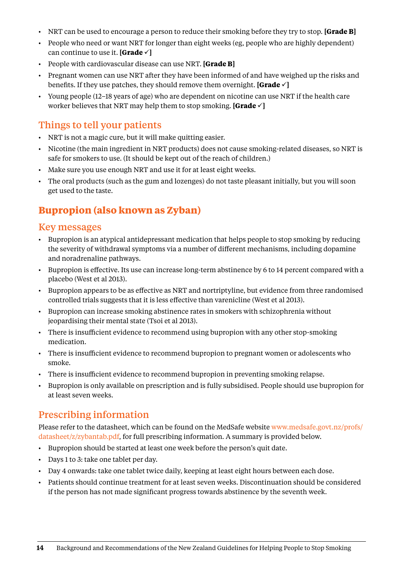- • NRT can be used to encourage a person to reduce their smoking before they try to stop. **[Grade B]**
- • People who need or want NRT for longer than eight weeks (eg, people who are highly dependent) can continue to use it. **[Grade**  $\checkmark$ ]
- • People with cardiovascular disease can use NRT. **[Grade B]**
- • Pregnant women can use NRT after they have been informed of and have weighed up the risks and benefits. If they use patches, they should remove them overnight. [Grade  $\checkmark$ ]
- • Young people (12–18 years of age) who are dependent on nicotine can use NRT if the health care worker believes that NRT may help them to stop smoking. **[Grade**  $\checkmark$ ]

# Things to tell your patients

- NRT is not a magic cure, but it will make quitting easier.
- • Nicotine (the main ingredient in NRT products) does not cause smoking-related diseases, so NRT is safe for smokers to use. (It should be kept out of the reach of children.)
- Make sure you use enough NRT and use it for at least eight weeks.
- The oral products (such as the gum and lozenges) do not taste pleasant initially, but you will soon get used to the taste.

# **Bupropion (also known as Zyban)**

#### Key messages

- • Bupropion is an atypical antidepressant medication that helps people to stop smoking by reducing the severity of withdrawal symptoms via a number of different mechanisms, including dopamine and noradrenaline pathways.
- • Bupropion is effective. Its use can increase long-term abstinence by 6 to 14 percent compared with a placebo (West et al 2013).
- • Bupropion appears to be as effective as NRT and nortriptyline, but evidence from three randomised controlled trials suggests that it is less effective than varenicline (West et al 2013).
- • Bupropion can increase smoking abstinence rates in smokers with schizophrenia without jeopardising their mental state (Tsoi et al 2013).
- There is insufficient evidence to recommend using bupropion with any other stop-smoking medication.
- • There is insufficient evidence to recommend bupropion to pregnant women or adolescents who smoke.
- • There is insufficient evidence to recommend bupropion in preventing smoking relapse.
- • Bupropion is only available on prescription and is fully subsidised. People should use bupropion for at least seven weeks.

## Prescribing information

[Please refer to the datasheet, which can be found on the MedSafe website www.medsafe.govt.nz/profs/](www.medsafe.govt.nz/profs/datasheet/z/zybantab.pdf) datasheet/z/zybantab.pdf, for full prescribing information. A summary is provided below.

- • Bupropion should be started at least one week before the person's quit date.
- • Days 1 to 3: take one tablet per day.
- Day 4 onwards: take one tablet twice daily, keeping at least eight hours between each dose.
- • Patients should continue treatment for at least seven weeks. Discontinuation should be considered if the person has not made significant progress towards abstinence by the seventh week.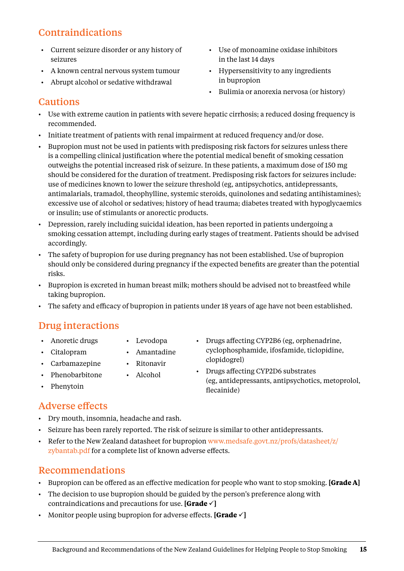# <span id="page-18-0"></span>Contraindications

- • Current seizure disorder or any history of seizures
- • A known central nervous system tumour
- • Abrupt alcohol or sedative withdrawal
- • Use of monoamine oxidase inhibitors in the last 14 days
- • Hypersensitivity to any ingredients in bupropion
- • Bulimia or anorexia nervosa (or history)

### Cautions

- • Use with extreme caution in patients with severe hepatic cirrhosis; a reduced dosing frequency is recommended.
- • Initiate treatment of patients with renal impairment at reduced frequency and/or dose.
- Bupropion must not be used in patients with predisposing risk factors for seizures unless there is a compelling clinical justification where the potential medical benefit of smoking cessation outweighs the potential increased risk of seizure. In these patients, a maximum dose of 150 mg should be considered for the duration of treatment. Predisposing risk factors for seizures include: use of medicines known to lower the seizure threshold (eg, antipsychotics, antidepressants, antimalarials, tramadol, theophylline, systemic steroids, quinolones and sedating antihistamines); excessive use of alcohol or sedatives; history of head trauma; diabetes treated with hypoglycaemics or insulin; use of stimulants or anorectic products.
- • Depression, rarely including suicidal ideation, has been reported in patients undergoing a smoking cessation attempt, including during early stages of treatment. Patients should be advised accordingly.
- • The safety of bupropion for use during pregnancy has not been established. Use of bupropion should only be considered during pregnancy if the expected benefits are greater than the potential risks.
- • Bupropion is excreted in human breast milk; mothers should be advised not to breastfeed while taking bupropion.
- • The safety and efficacy of bupropion in patients under 18 years of age have not been established.

# Drug interactions

- • Anoretic drugs
- • Levodopa
- • Citalopram
- • Amantadine
- • Carbamazepine
- • Ritonavir • Alcohol
- Phenobarbitone
- • Phenytoin

#### Adverse effects

- • Dry mouth, insomnia, headache and rash.
- • Seizure has been rarely reported. The risk of seizure is similar to other antidepressants.
- [Refer to the New Zealand datasheet for bupropion www.medsafe.govt.nz/profs/datasheet/z/](www.medsafe.govt.nz/profs/datasheet/z/zybantab.pdf) zybantab.pdf for a complete list of known adverse effects.

# Recommendations

- • Bupropion can be offered as an effective medication for people who want to stop smoking. **[Grade A]**
- • The decision to use bupropion should be guided by the person's preference along with contraindications and precautions for use. **[Grade**  $\checkmark$ ]
- Monitor people using bupropion for adverse effects. **[Grade**  $\checkmark$ ]

• Drugs affecting CYP2B6 (eg, orphenadrine, cyclophosphamide, ifosfamide, ticlopidine, clopidogrel)

• Drugs affecting CYP2D6 substrates (eg, antidepressants, antipsychotics, metoprolol, flecainide)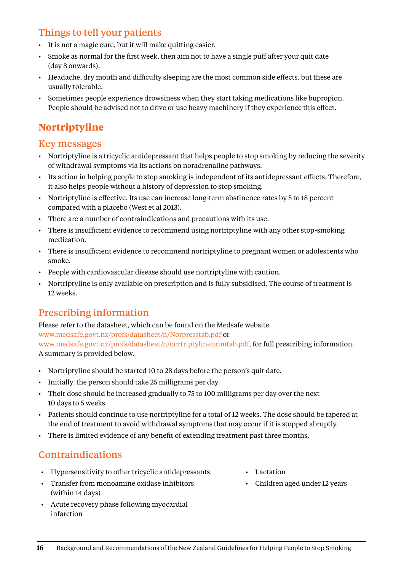# <span id="page-19-0"></span>Things to tell your patients

- • It is not a magic cure, but it will make quitting easier.
- Smoke as normal for the first week, then aim not to have a single puff after your quit date (day 8 onwards).
- Headache, dry mouth and difficulty sleeping are the most common side effects, but these are usually tolerable.
- • Sometimes people experience drowsiness when they start taking medications like bupropion. People should be advised not to drive or use heavy machinery if they experience this effect.

# **Nortriptyline**

#### Key messages

- Nortriptyline is a tricyclic antidepressant that helps people to stop smoking by reducing the severity of withdrawal symptoms via its actions on noradrenaline pathways.
- • Its action in helping people to stop smoking is independent of its antidepressant effects. Therefore, it also helps people without a history of depression to stop smoking.
- • Nortriptyline is effective. Its use can increase long-term abstinence rates by 5 to 18 percent compared with a placebo (West et al 2013).
- • There are a number of contraindications and precautions with its use.
- There is insufficient evidence to recommend using nortriptyline with any other stop-smoking medication.
- • There is insufficient evidence to recommend nortriptyline to pregnant women or adolescents who smoke.
- People with cardiovascular disease should use nortriptyline with caution.
- • Nortriptyline is only available on prescription and is fully subsidised. The course of treatment is 12 weeks.

# Prescribing information

Please refer to the datasheet, which can be found on the Medsafe website [www.medsafe.govt.nz/profs/datasheet/n/Norpresstab.pdf](http://www.medsafe.govt.nz/profs/datasheet/n/Norpresstab.pdf) or [www.medsafe.govt.nz/profs/datasheet/n/nortriptylinenrimtab.pdf](http://www.medsafe.govt.nz/profs/datasheet/n/nortriptylinenrimtab.pdf), for full prescribing information. A summary is provided below.

- Nortriptyline should be started 10 to 28 days before the person's quit date.
- Initially, the person should take 25 milligrams per day.
- • Their dose should be increased gradually to 75 to 100 milligrams per day over the next 10 days to 5 weeks.
- • Patients should continue to use nortriptyline for a total of 12 weeks. The dose should be tapered at the end of treatment to avoid withdrawal symptoms that may occur if it is stopped abruptly.
- • There is limited evidence of any benefit of extending treatment past three months.

## Contraindications

- • Hypersensitivity to other tricyclic antidepressants
- • Transfer from monoamine oxidase inhibitors (within 14 days)
- • Acute recovery phase following myocardial infarction
- • Lactation
- • Children aged under 12 years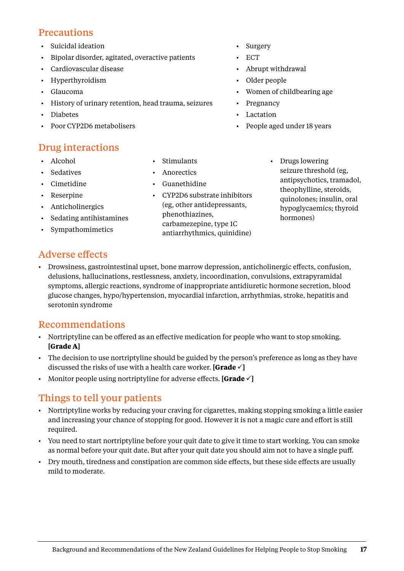### **Precautions**

- • Suicidal ideation
- • Bipolar disorder, agitated, overactive patients
- • Cardiovascular disease
- • Hyperthyroidism
- • Glaucoma
- • History of urinary retention, head trauma, seizures
- • Diabetes
- Poor CYP2D6 metabolisers

## Drug interactions

- • Alcohol
- • Sedatives
- • Cimetidine
- • Reserpine
- • Anticholinergics
- • Sedating antihistamines
- • Sympathomimetics
- • Stimulants
- • Anorectics
- • Guanethidine
- • CYP2D6 substrate inhibitors (eg, other antidepressants, phenothiazines, carbamezepine, type 1C antiarrhythmics, quinidine)
- • Surgery
- **ECT**
- • Abrupt withdrawal
- • Older people
- • Women of childbearing age
- Pregnancy
- • Lactation
- People aged under 18 years
	- Drugs lowering seizure threshold (eg, antipsychotics, tramadol, theophylline, steroids, quinolones; insulin, oral hypoglycaemics; thyroid hormones)

## Adverse effects

• Drowsiness, gastrointestinal upset, bone marrow depression, anticholinergic effects, confusion, delusions, hallucinations, restlessness, anxiety, incoordination, convulsions, extrapyramidal symptoms, allergic reactions, syndrome of inappropriate antidiuretic hormone secretion, blood glucose changes, hypo/hypertension, myocardial infarction, arrhythmias, stroke, hepatitis and serotonin syndrome

#### Recommendations

- • Nortriptyline can be offered as an effective medication for people who want to stop smoking. **[Grade A]**
- • The decision to use nortriptyline should be guided by the person's preference as long as they have discussed the risks of use with a health care worker. **[Grade**  $\checkmark$ ]
- Monitor people using nortriptyline for adverse effects. [Grade  $\checkmark$ ]

## Things to tell your patients

- • Nortriptyline works by reducing your craving for cigarettes, making stopping smoking a little easier and increasing your chance of stopping for good. However it is not a magic cure and effort is still required.
- You need to start nortriptyline before your quit date to give it time to start working. You can smoke as normal before your quit date. But after your quit date you should aim not to have a single puff.
- • Dry mouth, tiredness and constipation are common side effects, but these side effects are usually mild to moderate.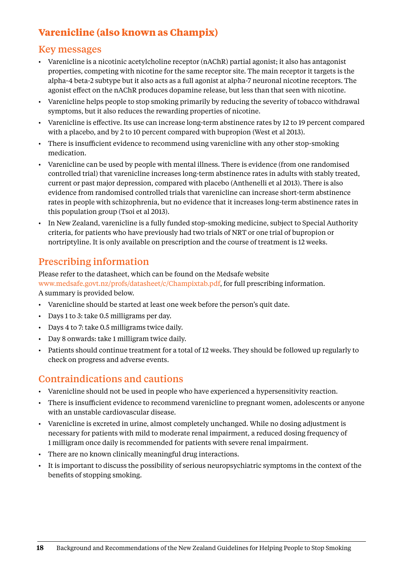# <span id="page-21-0"></span>**Varenicline (also known as Champix)**

#### Key messages

- • Varenicline is a nicotinic acetylcholine receptor (nAChR) partial agonist; it also has antagonist properties, competing with nicotine for the same receptor site. The main receptor it targets is the alpha-4 beta-2 subtype but it also acts as a full agonist at alpha-7 neuronal nicotine receptors. The agonist effect on the nAChR produces dopamine release, but less than that seen with nicotine.
- • Varenicline helps people to stop smoking primarily by reducing the severity of tobacco withdrawal symptoms, but it also reduces the rewarding properties of nicotine.
- • Varenicline is effective. Its use can increase long-term abstinence rates by 12 to 19 percent compared with a placebo, and by 2 to 10 percent compared with bupropion (West et al 2013).
- There is insufficient evidence to recommend using varenicline with any other stop-smoking medication.
- • Varenicline can be used by people with mental illness. There is evidence (from one randomised controlled trial) that varenicline increases long-term abstinence rates in adults with stably treated, current or past major depression, compared with placebo (Anthenelli et al 2013). There is also evidence from randomised controlled trials that varenicline can increase short-term abstinence rates in people with schizophrenia, but no evidence that it increases long-term abstinence rates in this population group (Tsoi et al 2013).
- In New Zealand, varenicline is a fully funded stop-smoking medicine, subject to Special Authority criteria, for patients who have previously had two trials of NRT or one trial of bupropion or nortriptyline. It is only available on prescription and the course of treatment is 12 weeks.

# Prescribing information

Please refer to the datasheet, which can be found on the Medsafe website [www.medsafe.govt.nz/profs/datasheet/c/Champixtab.pdf](http://www.medsafe.govt.nz/profs/datasheet/c/Champixtab.pdf), for full prescribing information. A summary is provided below.

- • Varenicline should be started at least one week before the person's quit date.
- • Days 1 to 3: take 0.5 milligrams per day.
- • Days 4 to 7: take 0.5 milligrams twice daily.
- • Day 8 onwards: take 1 milligram twice daily.
- • Patients should continue treatment for a total of 12 weeks. They should be followed up regularly to check on progress and adverse events.

#### Contraindications and cautions

- Varenicline should not be used in people who have experienced a hypersensitivity reaction.
- • There is insufficient evidence to recommend varenicline to pregnant women, adolescents or anyone with an unstable cardiovascular disease.
- • Varenicline is excreted in urine, almost completely unchanged. While no dosing adjustment is necessary for patients with mild to moderate renal impairment, a reduced dosing frequency of 1 milligram once daily is recommended for patients with severe renal impairment.
- There are no known clinically meaningful drug interactions.
- • It is important to discuss the possibility of serious neuropsychiatric symptoms in the context of the benefits of stopping smoking.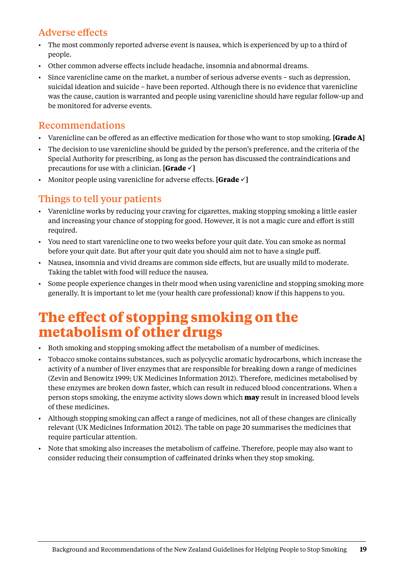# <span id="page-22-0"></span>Adverse effects

- • The most commonly reported adverse event is nausea, which is experienced by up to a third of people.
- • Other common adverse effects include headache, insomnia andabnormal dreams.
- • Since varenicline came on the market, a number of serious adverse events such as depression, suicidal ideation and suicide – have been reported. Although there is no evidence that varenicline was the cause, caution is warranted and people using varenicline should have regular follow-up and be monitored for adverse events.

## Recommendations

- Varenicline can be offered as an effective medication for those who want to stop smoking. **[Grade A]**
- • The decision to use varenicline should be guided by the person's preference, and the criteria of the Special Authority for prescribing, as long as the person has discussed the contraindications and precautions for use with a clinician. **[Grade**  $\checkmark$ ]
- Monitor people using varenicline for adverse effects. **[Grade**  $\checkmark$ ]

# Things to tell your patients

- • Varenicline works by reducing your craving for cigarettes, making stopping smoking a little easier and increasing your chance of stopping for good. However, it is not a magic cure and effort is still required.
- • You need to start varenicline one to two weeks before your quit date. You can smoke as normal before your quit date. But after your quit date you should aim not to have a single puff.
- • Nausea, insomnia and vivid dreams are common side effects, but are usually mild to moderate. Taking the tablet with food will reduce the nausea.
- • Some people experience changes in their mood when using varenicline and stopping smoking more generally. It is important to let me (your health care professional) know if this happens to you.

# **The effect of stopping smoking on the metabolism of other drugs**

- • Both smoking and stopping smoking affect the metabolism of a number of medicines.
- • Tobacco smoke contains substances, such as polycyclic aromatic hydrocarbons, which increase the activity of a number of liver enzymes that are responsible for breaking down a range of medicines (Zevin and Benowitz 1999; UK Medicines Information 2012). Therefore, medicines metabolised by these enzymes are broken down faster, which can result in reduced blood concentrations. When a person stops smoking, the enzyme activity slows down which **may** result in increased blood levels of these medicines.
- • Although stopping smoking can affect a range of medicines, not all of these changes are clinically relevant (UK Medicines Information 2012). The table on page 20 summarises the medicines that require particular attention.
- Note that smoking also increases the metabolism of caffeine. Therefore, people may also want to consider reducing their consumption of caffeinated drinks when they stop smoking.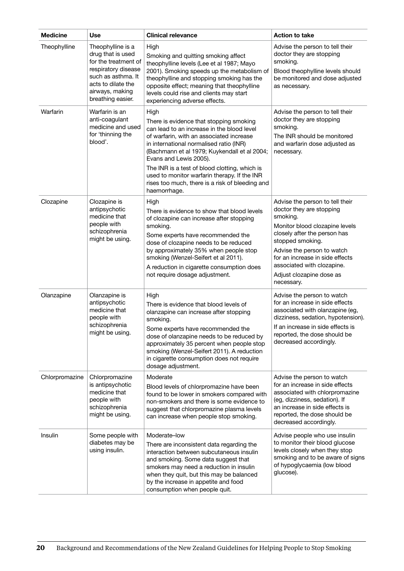| <b>Medicine</b> | <b>Use</b>                                                                                                                                                                | <b>Clinical relevance</b>                                                                                                                                                                                                                                                                                                                                                                                                          | <b>Action to take</b>                                                                                                                                                                                                                                                                                  |
|-----------------|---------------------------------------------------------------------------------------------------------------------------------------------------------------------------|------------------------------------------------------------------------------------------------------------------------------------------------------------------------------------------------------------------------------------------------------------------------------------------------------------------------------------------------------------------------------------------------------------------------------------|--------------------------------------------------------------------------------------------------------------------------------------------------------------------------------------------------------------------------------------------------------------------------------------------------------|
| Theophylline    | Theophylline is a<br>drug that is used<br>for the treatment of<br>respiratory disease<br>such as asthma. It<br>acts to dilate the<br>airways, making<br>breathing easier. | High<br>Smoking and quitting smoking affect<br>theophylline levels (Lee et al 1987; Mayo<br>2001). Smoking speeds up the metabolism of<br>theophylline and stopping smoking has the<br>opposite effect; meaning that theophylline<br>levels could rise and clients may start<br>experiencing adverse effects.                                                                                                                      | Advise the person to tell their<br>doctor they are stopping<br>smoking.<br>Blood theophylline levels should<br>be monitored and dose adjusted<br>as necessary.                                                                                                                                         |
| Warfarin        | Warfarin is an<br>anti-coagulant<br>medicine and used<br>for 'thinning the<br>blood'.                                                                                     | High<br>There is evidence that stopping smoking<br>can lead to an increase in the blood level<br>of warfarin, with an associated increase<br>in international normalised ratio (INR)<br>(Bachmann et al 1979; Kuykendall et al 2004;<br>Evans and Lewis 2005).<br>The INR is a test of blood clotting, which is<br>used to monitor warfarin therapy. If the INR<br>rises too much, there is a risk of bleeding and<br>haemorrhage. | Advise the person to tell their<br>doctor they are stopping<br>smoking.<br>The INR should be monitored<br>and warfarin dose adjusted as<br>necessary.                                                                                                                                                  |
| Clozapine       | Clozapine is<br>antipsychotic<br>medicine that<br>people with<br>schizophrenia<br>might be using.                                                                         | High<br>There is evidence to show that blood levels<br>of clozapine can increase after stopping<br>smoking.<br>Some experts have recommended the<br>dose of clozapine needs to be reduced<br>by approximately 35% when people stop<br>smoking (Wenzel-Seifert et al 2011).<br>A reduction in cigarette consumption does<br>not require dosage adjustment.                                                                          | Advise the person to tell their<br>doctor they are stopping<br>smoking.<br>Monitor blood clozapine levels<br>closely after the person has<br>stopped smoking.<br>Advise the person to watch<br>for an increase in side effects<br>associated with clozapine.<br>Adjust clozapine dose as<br>necessary. |
| Olanzapine      | Olanzapine is<br>antipsychotic<br>medicine that<br>people with<br>schizophrenia<br>might be using.                                                                        | High<br>There is evidence that blood levels of<br>olanzapine can increase after stopping<br>smoking.<br>Some experts have recommended the<br>dose of olanzapine needs to be reduced by<br>approximately 35 percent when people stop<br>smoking (Wenzel-Seifert 2011). A reduction<br>in cigarette consumption does not require<br>dosage adjustment.                                                                               | Advise the person to watch<br>for an increase in side effects<br>associated with olanzapine (eg,<br>dizziness, sedation, hypotension).<br>If an increase in side effects is<br>reported, the dose should be<br>decreased accordingly.                                                                  |
| Chlorpromazine  | Chlorpromazine<br>is antipsychotic<br>medicine that<br>people with<br>schizophrenia<br>might be using.                                                                    | Moderate<br>Blood levels of chlorpromazine have been<br>found to be lower in smokers compared with<br>non-smokers and there is some evidence to<br>suggest that chlorpromazine plasma levels<br>can increase when people stop smoking.                                                                                                                                                                                             | Advise the person to watch<br>for an increase in side effects<br>associated with chlorpromazine<br>(eg, dizziness, sedation). If<br>an increase in side effects is<br>reported, the dose should be<br>decreased accordingly.                                                                           |
| Insulin         | Some people with<br>diabetes may be<br>using insulin.                                                                                                                     | Moderate-low<br>There are inconsistent data regarding the<br>interaction between subcutaneous insulin<br>and smoking. Some data suggest that<br>smokers may need a reduction in insulin<br>when they quit, but this may be balanced<br>by the increase in appetite and food<br>consumption when people quit.                                                                                                                       | Advise people who use insulin<br>to monitor their blood glucose<br>levels closely when they stop<br>smoking and to be aware of signs<br>of hypoglycaemia (low blood<br>glucose).                                                                                                                       |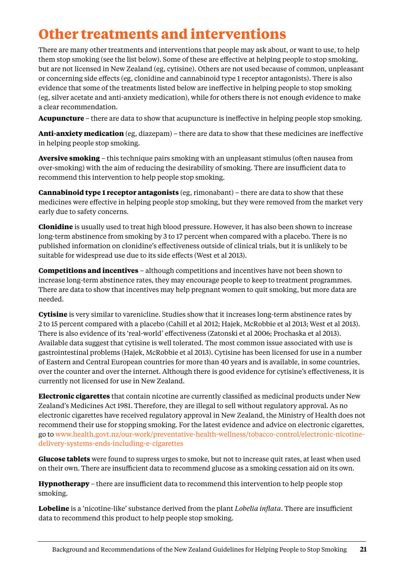# <span id="page-24-0"></span>**Other treatments and interventions**

There are many other treatments and interventions that people may ask about, or want to use, to help them stop smoking (see the list below). Some of these are effective at helping people to stop smoking, but are not licensed in New Zealand (eg, cytisine). Others are not used because of common, unpleasant or concerning side effects (eg, clonidine and cannabinoid type 1 receptor antagonists). There is also evidence that some of the treatments listed below are ineffective in helping people to stop smoking (eg, silver acetate and anti-anxiety medication), while for others there is not enough evidence to make a clear recommendation.

**Acupuncture** – there are data to show that acupuncture is ineffective in helping people stop smoking.

**Anti-anxiety medication** (eg, diazepam) – there are data to show that these medicines are ineffective in helping people stop smoking.

**Aversive smoking** – this technique pairs smoking with an unpleasant stimulus (often nausea from over-smoking) with the aim of reducing the desirability of smoking. There are insufficient data to recommend this intervention to help people stop smoking.

**Cannabinoid type 1 receptor antagonists** (eg, rimonabant) – there are data to show that these medicines were effective in helping people stop smoking, but they were removed from the market very early due to safety concerns.

**Clonidine** is usually used to treat high blood pressure. However, it has also been shown to increase long-term abstinence from smoking by 3 to 17 percent when compared with a placebo. There is no published information on clonidine's effectiveness outside of clinical trials, but it is unlikely to be suitable for widespread use due to its side effects (West et al 2013).

**Competitions and incentives** – although competitions and incentives have not been shown to increase long-term abstinence rates, they may encourage people to keep to treatment programmes. There are data to show that incentives may help pregnant women to quit smoking, but more data are needed.

**Cytisine** is very similar to varenicline. Studies show that it increases long-term abstinence rates by 2 to 15 percent compared with a placebo (Cahill et al 2012; Hajek, McRobbie et al 2013; West et al 2013). There is also evidence of its 'real-world' effectiveness (Zatonski et al 2006; Prochaska et al 2013). Available data suggest that cytisine is well tolerated. The most common issue associated with use is gastrointestinal problems (Hajek, McRobbie et al 2013). Cytisine has been licensed for use in a number of Eastern and Central European countries for more than 40 years and is available, in some countries, over the counter and over the internet. Although there is good evidence for cytisine's effectiveness, it is currently not licensed for use in New Zealand.

**Electronic cigarettes** that contain nicotine are currently classified as medicinal products under New Zealand's Medicines Act 1981. Therefore, they are illegal to sell without regulatory approval. As no electronic cigarettes have received regulatory approval in New Zealand, the Ministry of Health does not recommend their use for stopping smoking. For the latest evidence and advice on electronic cigarettes, go to [www.health.govt.nz/our-work/preventative-health-wellness/tobacco-control/electronic-nicotine](http://www.health.govt.nz/our-work/preventative-health-wellness/tobacco-control/electronic-nicotine-delivery-systems-ends-including-e-cigarettes)[delivery-systems-ends-including-e-cigarettes](http://www.health.govt.nz/our-work/preventative-health-wellness/tobacco-control/electronic-nicotine-delivery-systems-ends-including-e-cigarettes)

**Glucose tablets** were found to supress urges to smoke, but not to increase quit rates, at least when used on their own. There are insufficient data to recommend glucose as a smoking cessation aid on its own.

**Hypnotherapy** – there are insufficient data to recommend this intervention to help people stop smoking.

**Lobeline** is a 'nicotine-like' substance derived from the plant *Lobelia inflata*. There are insufficient data to recommend this product to help people stop smoking.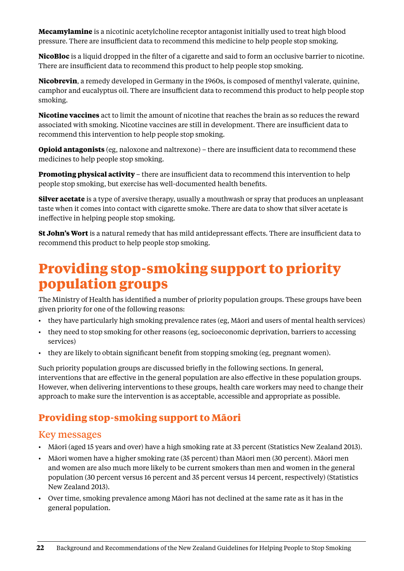<span id="page-25-0"></span>**Mecamylamine** is a nicotinic acetylcholine receptor antagonist initially used to treat high blood pressure. There are insufficient data to recommend this medicine to help people stop smoking.

**NicoBloc** is a liquid dropped in the filter of a cigarette and said to form an occlusive barrier to nicotine. There are insufficient data to recommend this product to help people stop smoking.

**Nicobrevin**, a remedy developed in Germany in the 1960s, is composed of menthyl valerate, quinine, camphor and eucalyptus oil. There are insufficient data to recommend this product to help people stop smoking.

**Nicotine vaccines** act to limit the amount of nicotine that reaches the brain as so reduces the reward associated with smoking. Nicotine vaccines are still in development. There are insufficient data to recommend this intervention to help people stop smoking.

**Opioid antagonists** (eg, naloxone and naltrexone) – there are insufficient data to recommend these medicines to help people stop smoking.

**Promoting physical activity** – there are insufficient data to recommend this intervention to help people stop smoking, but exercise has well-documented health benefits.

**Silver acetate** is a type of aversive therapy, usually a mouthwash or spray that produces an unpleasant taste when it comes into contact with cigarette smoke. There are data to show that silver acetate is ineffective in helping people stop smoking.

**St John's Wort** is a natural remedy that has mild antidepressant effects. There are insufficient data to recommend this product to help people stop smoking.

# **Providing stop-smoking support to priority population groups**

The Ministry of Health has identified a number of priority population groups. These groups have been given priority for one of the following reasons:

- • they have particularly high smoking prevalence rates (eg, Māori and users of mental health services)
- • they need to stop smoking for other reasons (eg, socioeconomic deprivation, barriers to accessing services)
- they are likely to obtain significant benefit from stopping smoking (eg, pregnant women).

Such priority population groups are discussed briefly in the following sections. In general, interventions that are effective in the general population are also effective in these population groups. However, when delivering interventions to these groups, health care workers may need to change their approach to make sure the intervention is as acceptable, accessible and appropriate as possible.

# **Providing stop-smoking support to Māori**

- • Māori (aged 15 years and over) have a high smoking rate at 33 percent (Statistics New Zealand 2013).
- • Māori women have a higher smoking rate (35 percent) than Māori men (30 percent). Māori men and women are also much more likely to be current smokers than men and women in the general population (30 percent versus 16 percent and 35 percent versus 14 percent, respectively) (Statistics New Zealand 2013).
- • Over time, smoking prevalence among Māori has not declined at the same rate as it has in the general population.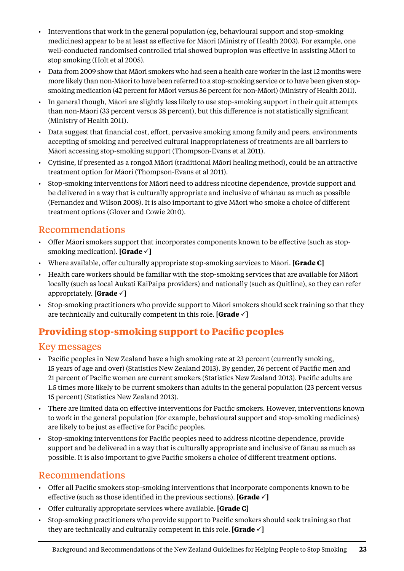- <span id="page-26-0"></span>• Interventions that work in the general population (eg, behavioural support and stop-smoking medicines) appear to be at least as effective for Māori (Ministry of Health 2003). For example, one well-conducted randomised controlled trial showed bupropion was effective in assisting Māori to stop smoking (Holt et al 2005).
- • Data from 2009 show that Māori smokers who had seen a health care worker in the last 12 months were more likely than non-Māori to have been referred to a stop-smoking service or to have been given stopsmoking medication (42 percent for Māori versus 36 percent for non-Māori) (Ministry of Health 2011).
- • In general though, Māori are slightly less likely to use stop-smoking support in their quit attempts than non-Māori (33 percent versus 38 percent), but this difference is not statistically significant (Ministry of Health 2011).
- Data suggest that financial cost, effort, pervasive smoking among family and peers, environments accepting of smoking and perceived cultural inappropriateness of treatments are all barriers to Māori accessing stop-smoking support (Thompson-Evans et al 2011).
- • Cytisine, if presented as a rongoā Māori (traditional Māori healing method), could be an attractive treatment option for Māori (Thompson-Evans et al 2011).
- • Stop-smoking interventions for Māori need to address nicotine dependence, provide support and be delivered in a way that is culturally appropriate and inclusive of whānau as much as possible (Fernandez and Wilson 2008). It is also important to give Māori who smoke a choice of different treatment options (Glover and Cowie 2010).

## Recommendations

- • Offer Māori smokers support that incorporates components known to be effective (such as stopsmoking medication). **[Grade**  $\checkmark$ ]
- • Where available, offer culturally appropriate stop-smoking services to Māori. **[Grade C]**
- • Health care workers should be familiar with the stop-smoking services that are available for Māori locally (such as local Aukati KaiPaipa providers) and nationally (such as Quitline), so they can refer appropriately. **[Grade**  $\checkmark$ ]
- Stop-smoking practitioners who provide support to Māori smokers should seek training so that they are technically and culturally competent in this role. **[Grade**  $\checkmark$ ]

# **Providing stop-smoking support to Pacific peoples**

#### Key messages

- Pacific peoples in New Zealand have a high smoking rate at 23 percent (currently smoking, 15 years of age and over) (Statistics New Zealand 2013). By gender, 26 percent of Pacific men and 21 percent of Pacific women are current smokers (Statistics New Zealand 2013). Pacific adults are 1.5 times more likely to be current smokers than adults in the general population (23 percent versus 15 percent) (Statistics New Zealand 2013).
- • There are limited data on effective interventions for Pacific smokers. However, interventions known to work in the general population (for example, behavioural support and stop-smoking medicines) are likely to be just as effective for Pacific peoples.
- Stop-smoking interventions for Pacific peoples need to address nicotine dependence, provide support and be delivered in a way that is culturally appropriate and inclusive of fānau as much as possible. It is also important to give Pacific smokers a choice of different treatment options.

- • Offer all Pacific smokers stop-smoking interventions that incorporate components known to be effective (such as those identified in the previous sections). **[Grade**  $\checkmark$ ]
- • Offer culturally appropriate services where available. **[Grade C]**
- • Stop-smoking practitioners who provide support to Pacific smokers should seek training so that they are technically and culturally competent in this role. **[Grade**  $\checkmark$ ]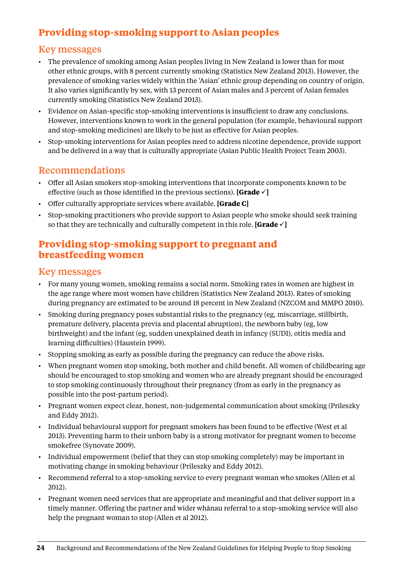# <span id="page-27-0"></span>**Providing stop-smoking support to Asian peoples**

#### Key messages

- • The prevalence of smoking among Asian peoples living in New Zealand is lower than for most other ethnic groups, with 8 percent currently smoking (Statistics New Zealand 2013). However, the prevalence of smoking varies widely within the 'Asian' ethnic group depending on country of origin. It also varies significantly by sex, with 13 percent of Asian males and 3 percent of Asian females currently smoking (Statistics New Zealand 2013).
- • Evidence on Asian-specific stop-smoking interventions is insufficient to draw any conclusions. However, interventions known to work in the general population (for example, behavioural support and stop-smoking medicines) are likely to be just as effective for Asian peoples.
- • Stop-smoking interventions for Asian peoples need to address nicotine dependence, provide support and be delivered in a way that is culturally appropriate (Asian Public Health Project Team 2003).

#### Recommendations

- • Offer all Asian smokers stop-smoking interventions that incorporate components known to be effective (such as those identified in the previous sections). **[Grade**  $\checkmark$  **]**
- • Offer culturally appropriate services where available. **[Grade C]**
- • Stop-smoking practitioners who provide support to Asian people who smoke should seek training so that they are technically and culturally competent in this role. **[Grade**  $\checkmark$ ]

### **Providing stop-smoking support to pregnant and breastfeeding women**

- • For many young women, smoking remains a social norm. Smoking rates in women are highest in the age range where most women have children (Statistics New Zealand 2013). Rates of smoking during pregnancy are estimated to be around 18 percent in New Zealand (NZCOM and MMPO 2010).
- • Smoking during pregnancy poses substantial risks to the pregnancy (eg, miscarriage, stillbirth, premature delivery, placenta previa and placental abruption), the newborn baby (eg, low birthweight) and the infant (eg, sudden unexplained death in infancy (SUDI), otitis media and learning difficulties) (Haustein 1999).
- • Stopping smoking as early as possible during the pregnancy can reduce the above risks.
- When pregnant women stop smoking, both mother and child benefit. All women of childbearing age should be encouraged to stop smoking and women who are already pregnant should be encouraged to stop smoking continuously throughout their pregnancy (from as early in the pregnancy as possible into the post-partum period).
- • Pregnant women expect clear, honest, non-judgemental communication about smoking (Prileszky and Eddy 2012).
- • Individual behavioural support for pregnant smokers has been found to be effective (West et al 2013). Preventing harm to their unborn baby is a strong motivator for pregnant women to become smokefree (Synovate 2009).
- Individual empowerment (belief that they can stop smoking completely) may be important in motivating change in smoking behaviour (Prileszky and Eddy 2012).
- • Recommend referral to a stop-smoking service to every pregnant woman who smokes (Allen et al 2012).
- • Pregnant women need services that are appropriate and meaningful and that deliver support in a timely manner. Offering the partner and wider whānau referral to a stop-smoking service will also help the pregnant woman to stop (Allen et al 2012).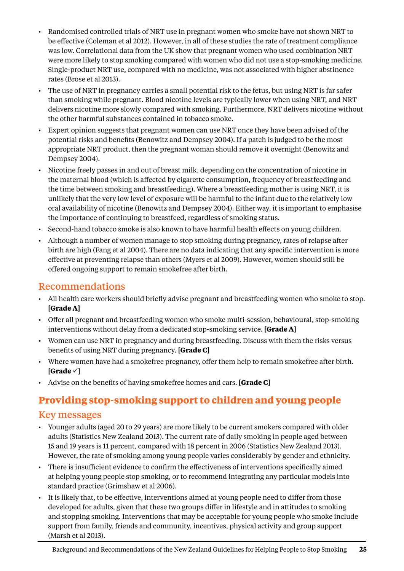- <span id="page-28-0"></span>• Randomised controlled trials of NRT use in pregnant women who smoke have not shown NRT to be effective (Coleman et al 2012). However, in all of these studies the rate of treatment compliance was low. Correlational data from the UK show that pregnant women who used combination NRT were more likely to stop smoking compared with women who did not use a stop-smoking medicine. Single-product NRT use, compared with no medicine, was not associated with higher abstinence rates (Brose et al 2013).
- The use of NRT in pregnancy carries a small potential risk to the fetus, but using NRT is far safer than smoking while pregnant. Blood nicotine levels are typically lower when using NRT, and NRT delivers nicotine more slowly compared with smoking. Furthermore, NRT delivers nicotine without the other harmful substances contained in tobacco smoke.
- Expert opinion suggests that pregnant women can use NRT once they have been advised of the potential risks and benefits (Benowitz and Dempsey 2004). If a patch is judged to be the most appropriate NRT product, then the pregnant woman should remove it overnight (Benowitz and Dempsey 2004).
- • Nicotine freely passes in and out of breast milk, depending on the concentration of nicotine in the maternal blood (which is affected by cigarette consumption, frequency of breastfeeding and the time between smoking and breastfeeding). Where a breastfeeding mother is using NRT, it is unlikely that the very low level of exposure will be harmful to the infant due to the relatively low oral availability of nicotine (Benowitz and Dempsey 2004). Either way, it is important to emphasise the importance of continuing to breastfeed, regardless of smoking status.
- Second-hand tobacco smoke is also known to have harmful health effects on young children.
- Although a number of women manage to stop smoking during pregnancy, rates of relapse after birth are high (Fang et al 2004). There are no data indicating that any specific intervention is more effective at preventing relapse than others (Myers et al 2009). However, women should still be offered ongoing support to remain smokefree after birth.

#### Recommendations

- • All health care workers should briefly advise pregnant and breastfeeding women who smoke to stop. **[Grade A]**
- • Offer all pregnant and breastfeeding women who smoke multi-session, behavioural, stop-smoking interventions without delay from a dedicated stop-smoking service. **[Grade A]**
- • Women can use NRT in pregnancy and during breastfeeding. Discuss with them the risks versus benefits of using NRT during pregnancy. **[Grade C]**
- • Where women have had a smokefree pregnancy, offer them help to remain smokefree after birth.  $[Grade \sim]$
- • Advise on the benefits of having smokefree homes and cars. **[Grade C]**

# **Providing stop-smoking support to children and young people**

- • Younger adults (aged 20 to 29 years) are more likely to be current smokers compared with older adults (Statistics New Zealand 2013). The current rate of daily smoking in people aged between 15 and 19 years is 11 percent, compared with 18 percent in 2006 (Statistics New Zealand 2013). However, the rate of smoking among young people varies considerably by gender and ethnicity.
- • There is insufficient evidence to confirm the effectiveness of interventions specifically aimed at helping young people stop smoking, or to recommend integrating any particular models into standard practice (Grimshaw et al 2006).
- • It is likely that, to be effective, interventions aimed at young people need to differ from those developed for adults, given that these two groups differ in lifestyle and in attitudes to smoking and stopping smoking. Interventions that may be acceptable for young people who smoke include support from family, friends and community, incentives, physical activity and group support (Marsh et al 2013).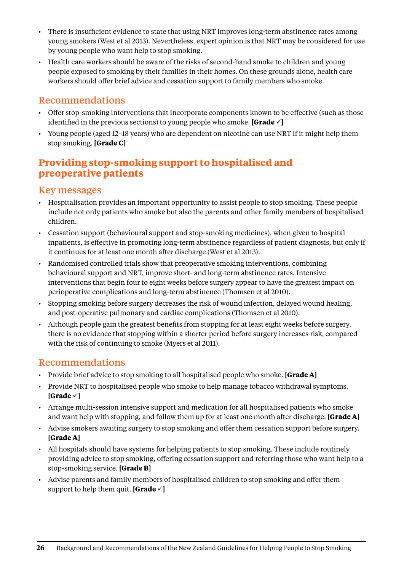- <span id="page-29-0"></span>• There is insufficient evidence to state that using NRT improves long-term abstinence rates among young smokers (West et al 2013). Nevertheless, expert opinion is that NRT may be considered for use by young people who want help to stop smoking.
- Health care workers should be aware of the risks of second-hand smoke to children and young people exposed to smoking by their families in their homes. On these grounds alone, health care workers should offer brief advice and cessation support to family members who smoke.

## Recommendations

- • Offer stop-smoking interventions that incorporate components known to be effective (such as those identified in the previous sections) to young people who smoke. **[Grade**  $\checkmark$  ]
- • Young people (aged 12–18 years) who are dependent on nicotine can use NRT if it might help them stop smoking. **[Grade C]**

## **Providing stop-smoking support to hospitalised and preoperative patients**

#### Key messages

- • Hospitalisation provides an important opportunity to assist people to stop smoking. These people include not only patients who smoke but also the parents and other family members of hospitalised children.
- • Cessation support (behavioural support and stop-smoking medicines), when given to hospital inpatients, is effective in promoting long-term abstinence regardless of patient diagnosis, but only if it continues for at least one month after discharge (West et al 2013).
- • Randomised controlled trials show that preoperative smoking interventions, combining behavioural support and NRT, improve short- and long-term abstinence rates. Intensive interventions that begin four to eight weeks before surgery appear to have the greatest impact on perioperative complications and long-term abstinence (Thomsen et al 2010).
- • Stopping smoking before surgery decreases the risk of wound infection, delayed wound healing, and post-operative pulmonary and cardiac complications (Thomsen et al 2010).
- Although people gain the greatest benefits from stopping for at least eight weeks before surgery, there is no evidence that stopping within a shorter period before surgery increases risk, compared with the risk of continuing to smoke (Myers et al 2011).

- Provide brief advice to stop smoking to all hospitalised people who smoke. **[Grade A]**
- Provide NRT to hospitalised people who smoke to help manage tobacco withdrawal symptoms.  $[Grade \sim]$
- • Arrange multi-session intensive support and medication for all hospitalised patients who smoke and want help with stopping, and follow them up for at least one month after discharge. **[Grade A]**
- • Advise smokers awaiting surgery to stop smoking and offer them cessation support before surgery. **[Grade A]**
- • All hospitals should have systems for helping patients to stop smoking. These include routinely providing advice to stop smoking, offering cessation support and referring those who want help to a stop-smoking service. **[Grade B]**
- • Advise parents and family members of hospitalised children to stop smoking and offer them support to help them quit. **[Grade**  $\checkmark$ ]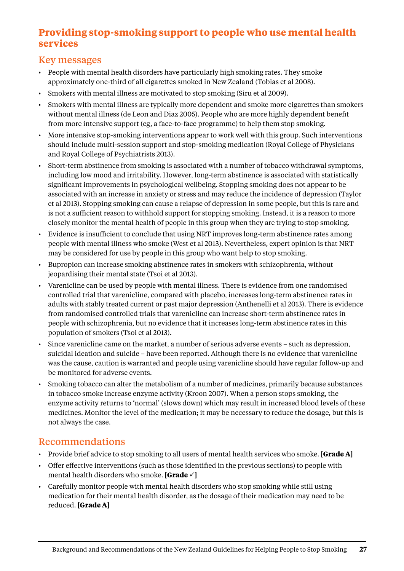### <span id="page-30-0"></span>**Providing stop-smoking support to people who use mental health services**

#### Key messages

- • People with mental health disorders have particularly high smoking rates. They smoke approximately one-third of all cigarettes smoked in New Zealand (Tobias et al 2008).
- Smokers with mental illness are motivated to stop smoking (Siru et al 2009).
- Smokers with mental illness are typically more dependent and smoke more cigarettes than smokers without mental illness (de Leon and Diaz 2005). People who are more highly dependent benefit from more intensive support (eg, a face-to-face programme) to help them stop smoking.
- More intensive stop-smoking interventions appear to work well with this group. Such interventions should include multi-session support and stop-smoking medication (Royal College of Physicians and Royal College of Psychiatrists 2013).
- Short-term abstinence from smoking is associated with a number of tobacco withdrawal symptoms, including low mood and irritability. However, long-term abstinence is associated with statistically significant improvements in psychological wellbeing. Stopping smoking does not appear to be associated with an increase in anxiety or stress and may reduce the incidence of depression (Taylor et al 2013). Stopping smoking can cause a relapse of depression in some people, but this is rare and is not a sufficient reason to withhold support for stopping smoking. Instead, it is a reason to more closely monitor the mental health of people in this group when they are trying to stop smoking.
- • Evidence is insufficient to conclude that using NRT improves long-term abstinence rates among people with mental illness who smoke (West et al 2013). Nevertheless, expert opinion is that NRT may be considered for use by people in this group who want help to stop smoking.
- • Bupropion can increase smoking abstinence rates in smokers with schizophrenia, without jeopardising their mental state (Tsoi et al 2013).
- • Varenicline can be used by people with mental illness. There is evidence from one randomised controlled trial that varenicline, compared with placebo, increases long-term abstinence rates in adults with stably treated current or past major depression (Anthenelli et al 2013). There is evidence from randomised controlled trials that varenicline can increase short-term abstinence rates in people with schizophrenia, but no evidence that it increases long-term abstinence rates in this population of smokers (Tsoi et al 2013).
- • Since varenicline came on the market, a number of serious adverse events such as depression, suicidal ideation and suicide – have been reported. Although there is no evidence that varenicline was the cause, caution is warranted and people using varenicline should have regular follow-up and be monitored for adverse events.
- Smoking tobacco can alter the metabolism of a number of medicines, primarily because substances in tobacco smoke increase enzyme activity (Kroon 2007). When a person stops smoking, the enzyme activity returns to 'normal' (slows down) which may result in increased blood levels of these medicines. Monitor the level of the medication; it may be necessary to reduce the dosage, but this is not always the case.

- • Provide brief advice to stop smoking to all users of mental health services who smoke. **[Grade A]**
- • Offer effective interventions (such as those identified in the previous sections) to people with mental health disorders who smoke. **[Grade**  $\checkmark$  ]
- • Carefully monitor people with mental health disorders who stop smoking while still using medication for their mental health disorder, as the dosage of their medication may need to be reduced. **[Grade A]**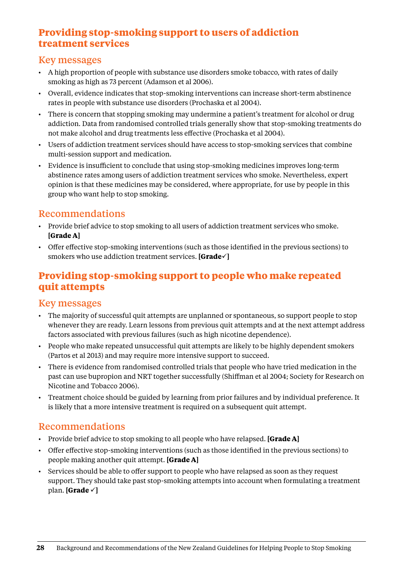### <span id="page-31-0"></span>**Providing stop-smoking support to users of addiction treatment services**

#### Key messages

- • A high proportion of people with substance use disorders smoke tobacco, with rates of daily smoking as high as 73 percent (Adamson et al 2006).
- • Overall, evidence indicates that stop-smoking interventions can increase short-term abstinence rates in people with substance use disorders (Prochaska et al 2004).
- There is concern that stopping smoking may undermine a patient's treatment for alcohol or drug addiction. Data from randomised controlled trials generally show that stop-smoking treatments do not make alcohol and drug treatments less effective (Prochaska et al 2004).
- • Users of addiction treatment services should have access to stop-smoking services that combine multi-session support and medication.
- • Evidence is insufficient to conclude that using stop-smoking medicines improves long-term abstinence rates among users of addiction treatment services who smoke. Nevertheless, expert opinion is that these medicines may be considered, where appropriate, for use by people in this group who want help to stop smoking.

#### Recommendations

- Provide brief advice to stop smoking to all users of addiction treatment services who smoke. **[Grade A]**
- • Offer effective stop-smoking interventions (such as those identified in the previous sections) to smokers who use addiction treatment services. **[Grade** $\checkmark$ ]

# **Providing stop-smoking support to people who make repeated quit attempts**

#### Key messages

- The majority of successful quit attempts are unplanned or spontaneous, so support people to stop whenever they are ready. Learn lessons from previous quit attempts and at the next attempt address factors associated with previous failures (such as high nicotine dependence).
- • People who make repeated unsuccessful quit attempts are likely to be highly dependent smokers (Partos et al 2013) and may require more intensive support to succeed.
- • There is evidence from randomised controlled trials that people who have tried medication in the past can use bupropion and NRT together successfully (Shiffman et al 2004; Society for Research on Nicotine and Tobacco 2006).
- • Treatment choice should be guided by learning from prior failures and by individual preference. It is likely that a more intensive treatment is required on a subsequent quit attempt.

- • Provide brief advice to stop smoking to all people who have relapsed. **[Grade A]**
- • Offer effective stop-smoking interventions (such as those identified in the previous sections) to people making another quit attempt. **[Grade A]**
- • Services should be able to offer support to people who have relapsed as soon as they request support. They should take past stop-smoking attempts into account when formulating a treatment plan. **[Grade**  $\checkmark$ ]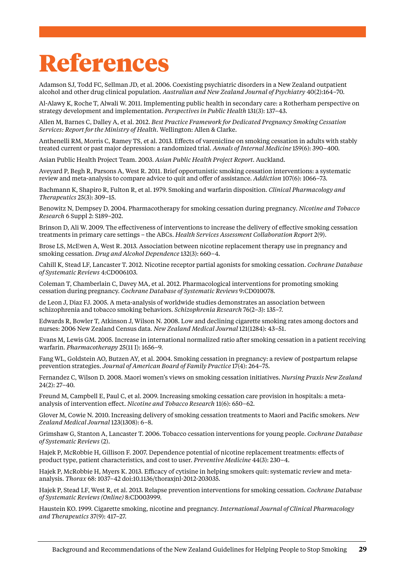# <span id="page-32-0"></span>References

Adamson SJ, Todd FC, Sellman JD, et al. 2006. Coexisting psychiatric disorders in a New Zealand outpatient alcohol and other drug clinical population. *Australian and New Zealand Journal of Psychiatry* 40(2):164–70.

Al-Alawy K, Roche T, Alwali W. 2011. Implementing public health in secondary care: a Rotherham perspective on strategy development and implementation. *Perspectives in Public Health* 131(3): 137–43.

Allen M, Barnes C, Dalley A, et al. 2012. *Best Practice Framework for Dedicated Pregnancy Smoking Cessation Services: Report for the Ministry of Health.* Wellington: Allen & Clarke.

[Anthenelli RM](http://www.ncbi.nlm.nih.gov/pubmed?term=Anthenelli%20RM%5BAuthor%5D&cauthor=true&cauthor_uid=24042367), [Morris C](http://www.ncbi.nlm.nih.gov/pubmed?term=Morris%20C%5BAuthor%5D&cauthor=true&cauthor_uid=24042367), [Ramey TS](http://www.ncbi.nlm.nih.gov/pubmed?term=Ramey%20TS%5BAuthor%5D&cauthor=true&cauthor_uid=24042367), et al. 2013. Effects of varenicline on smoking cessation in adults with stably treated current or past major depression: a randomized trial. *[Annals of Internal Med](http://www.ncbi.nlm.nih.gov/pubmed/24042367)icine* 159(6): 390–400.

Asian Public Health Project Team. 2003. *Asian Public Health Project Report.* Auckland.

Aveyard P, Begh R, Parsons A, West R. 2011. Brief opportunistic smoking cessation interventions: a systematic review and meta-analysis to compare advice to quit and offer of assistance. *Addiction* 107(6): 1066–73.

Bachmann K, Shapiro R, Fulton R, et al. 1979. Smoking and warfarin disposition. *Clinical Pharmacology and Therapeutics* 25(3): 309–15.

Benowitz N, Dempsey D. 2004. Pharmacotherapy for smoking cessation during pregnancy. *Nicotine and Tobacco Research* 6 Suppl 2: S189–202.

Brinson D, Ali W. 2009. The effectiveness of interventions to increase the delivery of effective smoking cessation treatments in primary care settings – the ABCs. *Health Services Assessment Collaboration Report* 2(9).

Brose LS, McEwen A, West R. 2013. Association between nicotine replacement therapy use in pregnancy and smoking cessation. *Drug and Alcohol Dependence* 132(3): 660–4.

Cahill K, Stead LF, Lancaster T. 2012. Nicotine receptor partial agonists for smoking cessation. *Cochrane Database of Systematic Reviews* 4:CD006103.

Coleman T, Chamberlain C, Davey MA, et al. 2012. Pharmacological interventions for promoting smoking cessation during pregnancy. *Cochrane Database of Systematic Reviews* 9:CD010078.

de Leon J, Diaz FJ. 2005. A meta-analysis of worldwide studies demonstrates an association between schizophrenia and tobacco smoking behaviors. *Schizophrenia Research* 76(2–3): 135–7.

Edwards R, Bowler T, Atkinson J, Wilson N. 2008. Low and declining cigarette smoking rates among doctors and nurses: 2006 New Zealand Census data. *New Zealand Medical Journal* 121(1284): 43–51.

Evans M, Lewis GM. 2005. Increase in international normalized ratio after smoking cessation in a patient receiving warfarin. *Pharmacotherapy* 25(11 I): 1656–9.

Fang WL, Goldstein AO, Butzen AY, et al. 2004. Smoking cessation in pregnancy: a review of postpartum relapse prevention strategies. *Journal of American Board of Family Practice* 17(4): 264–75.

Fernandez C, Wilson D. 2008. Maori women's views on smoking cessation initiatives. *Nursing Praxis New Zealand* 24(2): 27–40.

Freund M, Campbell E, Paul C, et al. 2009. Increasing smoking cessation care provision in hospitals: a metaanalysis of intervention effect. *Nicotine and Tobacco Research* 11(6): 650–62.

Glover M, Cowie N. 2010. Increasing delivery of smoking cessation treatments to Maori and Pacific smokers. *New Zealand Medical Journal* 123(1308): 6–8.

Grimshaw G, Stanton A, Lancaster T. 2006. Tobacco cessation interventions for young people. *Cochrane Database of Systematic Reviews* (2).

Hajek P, McRobbie H, Gillison F. 2007. Dependence potential of nicotine replacement treatments: effects of product type, patient characteristics, and cost to user. *Preventive Medicine* 44(3): 230–4.

Hajek P, McRobbie H, Myers K. 2013. Efficacy of cytisine in helping smokers quit: systematic review and metaanalysis. *Thorax* 68: 1037–42 doi:10.1136/thoraxjnl-2012-203035.

Hajek P, Stead LF, West R, et al. 2013. Relapse prevention interventions for smoking cessation. *Cochrane Database of Systematic Reviews (Online)* 8:CD003999.

Haustein KO. 1999. Cigarette smoking, nicotine and pregnancy. *International Journal of Clinical Pharmacology and Therapeutics* 37(9): 417–27.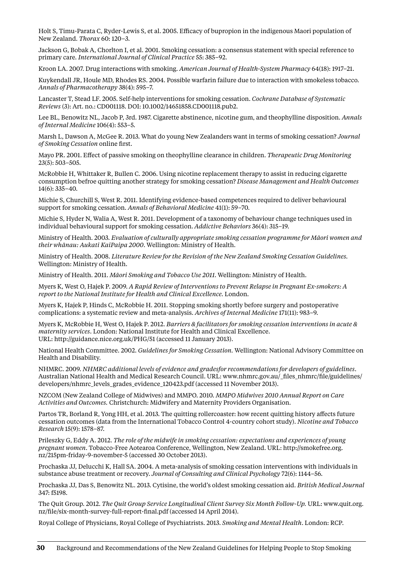Holt S, Timu-Parata C, Ryder-Lewis S, et al. 2005. Efficacy of bupropion in the indigenous Maori population of New Zealand. *Thorax* 60: 120–3.

Jackson G, Bobak A, Chorlton I, et al. 2001. Smoking cessation: a consensus statement with special reference to primary care. *International Journal of Clinical Practice* 55: 385–92.

Kroon LA. 2007. Drug interactions with smoking. *American Journal of Health-System Pharmacy* 64(18): 1917–21.

Kuykendall JR, Houle MD, Rhodes RS. 2004. Possible warfarin failure due to interaction with smokeless tobacco. *Annals of Pharmacotherapy* 38(4): 595–7.

Lancaster T, Stead LF. 2005. Self-help interventions for smoking cessation. *Cochrane Database of Systematic Reviews* (3): Art. no.: CD001118. DOI: 10.1002/14651858.CD001118.pub2.

Lee BL, Benowitz NL, Jacob P, 3rd. 1987. Cigarette abstinence, nicotine gum, and theophylline disposition. *Annals of Internal Medicine* 106(4): 553–5.

Marsh L, Dawson A, McGee R. 2013. What do young New Zealanders want in terms of smoking cessation? *Journal of Smoking Cessation* online first.

Mayo PR. 2001. Effect of passive smoking on theophylline clearance in children. *Therapeutic Drug Monitoring*  23(5): 503–505.

McRobbie H, Whittaker R, Bullen C. 2006. Using nicotine replacement therapy to assist in reducing cigarette consumption befroe quitting another strategy for smoking cessation? *Disease Management and Health Outcomes* 14(6): 335–40.

Michie S, Churchill S, West R. 2011. Identifying evidence-based competences required to deliver behavioural support for smoking cessation. *Annals of Behavioral Medicine* 41(1): 59–70.

Michie S, Hyder N, Walia A, West R. 2011. Development of a taxonomy of behaviour change techniques used in individual behavioural support for smoking cessation. *Addictive Behaviors* 36(4): 315–19.

Ministry of Health. 2003. *Evaluation of culturally appropriate smoking cessation programme for Māori women and their whānau: Aukati KaiPaipa 2000*. Wellington: Ministry of Health.

Ministry of Health. 2008. *Literature Review for the Revision of the New Zealand Smoking Cessation Guidelines.*  Wellington: Ministry of Health.

Ministry of Health. 2011. *Māori Smoking and Tobacco Use 2011*. Wellington: Ministry of Health.

Myers K, West O, Hajek P. 2009. *A Rapid Review of Interventions to Prevent Relapse in Pregnant Ex-smokers: A report to the National Institute for Health and Clinical Excellence.* London.

Myers K, Hajek P, Hinds C, McRobbie H. 2011. Stopping smoking shortly before surgery and postoperative complications: a systematic review and meta-analysis. *Archives of Internal Medicine* 171(11): 983–9.

Myers K, McRobbie H, West O, Hajek P. 2012. *Barriers & facilitators for smoking cessation interventions in acute & maternity services*. London: National Institute for Health and Clinical Excellence. URL:<http://guidance.nice.org.uk/PHG/51>(accessed 11 January 2013).

National Health Committee. 2002. *Guidelines for Smoking Cessation.* Wellington: National Advisory Committee on Health and Disability.

NHMRC. 2009. *NHMRC additional levels of evidence and gradesfor recommendations for developers of guidelines*. Australian National Health and Medical Research Council. URL: www.nhmrc.gov.au/ files\_nhmrc/file/guidelines/ [developers/nhmrc\\_levels\\_grades\\_evidence\\_120423.pdf](http://www.nhmrc.gov.au/_files_nhmrc/file/guidelines/developers/nhmrc_levels_grades_evidence_120423.pdf) (accessed 11 November 2013).

NZCOM (New Zealand College of Midwives) and MMPO. 2010. *MMPO Midwives 2010 Annual Report on Care Activities and Outcomes.* Christchurch: Midwifery and Maternity Providers Organisation.

Partos TR, Borland R, Yong HH, et al. 2013. The quitting rollercoaster: how recent quitting history affects future cessation outcomes (data from the International Tobacco Control 4-country cohort study). *Nicotine and Tobacco Research* 15(9): 1578–87.

Prileszky G, Eddy A. 2012. *The role of the midwife in smoking cessation: expectations and experiences of young pregnant women*. Tobacco-Free Aotearoa Conference, Wellington, New Zealand. URL: [http://smokefree.org.](http://smokefree.org.nz/215pm-friday-9-november-5) [nz/215pm-friday-9-november-5](http://smokefree.org.nz/215pm-friday-9-november-5) (accessed 30 October 2013).

Prochaska JJ, Delucchi K, Hall SA. 2004. A meta-analysis of smoking cessation interventions with individuals in substance abuse treatment or recovery. *Journal of Consulting and Clinical Psychology* 72(6): 1144–56.

Prochaska JJ, Das S, Benowitz NL. 2013. Cytisine, the world's oldest smoking cessation aid. *British Medical Journal* 347: f5198.

The Quit Group. 2012. *The Quit Group Service Longitudinal Client Survey Six Month Follow-Up.* URL: www.quit.org. nz/file/six-month-survey-full-report-final.pdf (accessed 14 April 2014).

Royal College of Physicians, Royal College of Psychiatrists. 2013. *Smoking and Mental Health*. London: RCP.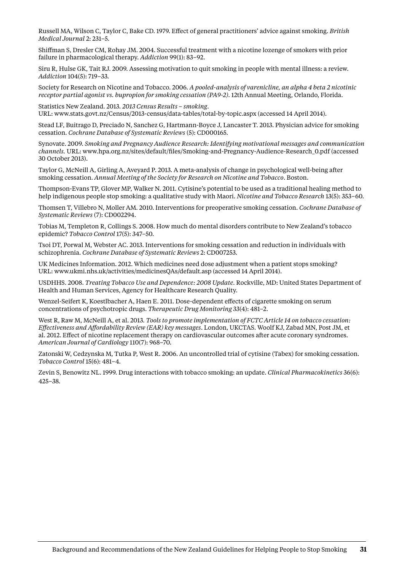Russell MA, Wilson C, Taylor C, Bake CD. 1979. Effect of general practitioners' advice against smoking. *British Medical Journal* 2: 231–5.

Shiffman S, Dresler CM, Rohay JM. 2004. Successful treatment with a nicotine lozenge of smokers with prior failure in pharmacological therapy. *Addiction* 99(1): 83–92.

Siru R, Hulse GK, Tait RJ. 2009. Assessing motivation to quit smoking in people with mental illness: a review. *Addiction* 104(5): 719–33.

Society for Research on Nicotine and Tobacco. 2006. *A pooled-analysis of varenicline, an alpha 4 beta 2 nicotinic receptor partial agonist vs. bupropion for smoking cessation (PA9-2)*. 12th Annual Meeting, Orlando, Florida.

Statistics New Zealand. 2013. *2013 Census Results – smoking*. URL: [www.stats.govt.nz/Census/2013-census/data-tables/total-by-topic.aspx](http://www.stats.govt.nz/Census/2013-census/data-tables/total-by-topic.aspx) (accessed 14 April 2014).

Stead LF, Buitrago D, Preciado N, Sanchez G, Hartmann-Boyce J, Lancaster T. 2013. Physician advice for smoking cessation. *Cochrane Database of Systematic Reviews* (5): CD000165.

Synovate. 2009. *Smoking and Pregnancy Audience Research: Identifying motivational messages and communication channels.* URL: [www.hpa.org.nz/sites/default/files/Smoking-and-Pregnancy-Audience-Research\\_0.pdf](http://www.hpa.org.nz/sites/default/files/Smoking-and-Pregnancy-Audience-Research_0.pdf) (accessed 30 October 2013).

Taylor G, McNeill A, Girling A, Aveyard P. 2013. A meta-analysis of change in psychological well-being after smoking cessation. *Annual Meeting of the Society for Research on Nicotine and Tobacco*. Boston.

Thompson-Evans TP, Glover MP, Walker N. 2011. Cytisine's potential to be used as a traditional healing method to help indigenous people stop smoking: a qualitative study with Maori. *Nicotine and Tobacco Research* 13(5): 353–60.

Thomsen T, Villebro N, Moller AM. 2010. Interventions for preoperative smoking cessation. *Cochrane Database of Systematic Reviews* (7): CD002294.

Tobias M, Templeton R, Collings S. 2008. How much do mental disorders contribute to New Zealand's tobacco epidemic? *Tobacco Control* 17(5): 347–50.

Tsoi DT, Porwal M, Webster AC. 2013. Interventions for smoking cessation and reduction in individuals with schizophrenia. *Cochrane Database of Systematic Reviews* 2: CD007253.

UK Medicines Information. 2012. Which medicines need dose adjustment when a patient stops smoking? URL: [www.ukmi.nhs.uk/activities/medicinesQAs/default.asp](http://www.ukmi.nhs.uk/activities/medicinesQAs/default.asp) (accessed 14 April 2014).

USDHHS. 2008. *Treating Tobacco Use and Dependence: 2008 Update*. Rockville, MD: United States Department of Health and Human Services, Agency for Healthcare Research Quality.

Wenzel-Seifert K, Koestlbacher A, Haen E. 2011. Dose-dependent effects of cigarette smoking on serum concentrations of psychotropic drugs. *Therapeutic Drug Monitoring* 33(4): 481–2.

West R, Raw M, McNeill A, et al. 2013. *Tools to promote implementation of FCTC Article 14 on tobacco cessation: Effectiveness and Affordability Review (EAR) key messages*. London, UKCTAS. Woolf KJ, Zabad MN, Post JM, et al. 2012. Effect of nicotine replacement therapy on cardiovascular outcomes after acute coronary syndromes. *American Journal of Cardiology* 110(7): 968–70.

Zatonski W, Cedzynska M, Tutka P, West R. 2006. An uncontrolled trial of cytisine (Tabex) for smoking cessation. *Tobacco Control* 15(6): 481–4.

Zevin S, Benowitz NL. 1999. Drug interactions with tobacco smoking: an update. *Clinical Pharmacokinetics* 36(6): 425–38.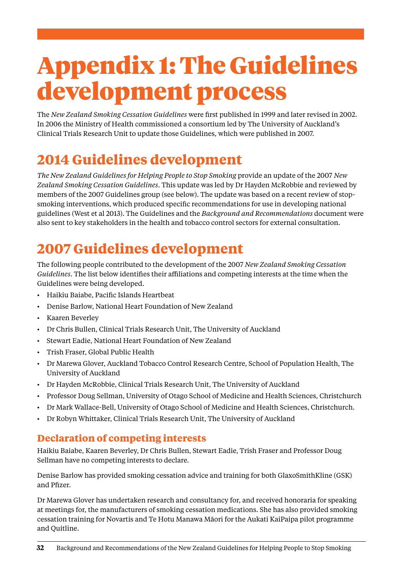# <span id="page-35-0"></span>Appendix 1: The Guidelines development process

The *New Zealand Smoking Cessation Guidelines* were first published in 1999 and later revised in 2002. In 2006 the Ministry of Health commissioned a consortium led by The University of Auckland's Clinical Trials Research Unit to update those Guidelines, which were published in 2007.

# **2014 Guidelines development**

*The New Zealand Guidelines for Helping People to Stop Smoking* provide an update of the 2007 *New Zealand Smoking Cessation Guidelines*. This update was led by Dr Hayden McRobbie and reviewed by members of the 2007 Guidelines group (see below). The update was based on a recent review of stopsmoking interventions, which produced specific recommendations for use in developing national guidelines (West et al 2013). The Guidelines and the *Background and Recommendations* document were also sent to key stakeholders in the health and tobacco control sectors for external consultation.

# **2007 Guidelines development**

The following people contributed to the development of the 2007 *New Zealand Smoking Cessation Guidelines*. The list below identifies their affiliations and competing interests at the time when the Guidelines were being developed.

- • Haikiu Baiabe, Pacific Islands Heartbeat
- • Denise Barlow, National Heart Foundation of New Zealand
- • Kaaren Beverley
- • Dr Chris Bullen, Clinical Trials Research Unit, The University of Auckland
- Stewart Eadie, National Heart Foundation of New Zealand
- Trish Fraser, Global Public Health
- Dr Marewa Glover, Auckland Tobacco Control Research Centre, School of Population Health, The University of Auckland
- • Dr Hayden McRobbie, Clinical Trials Research Unit, The University of Auckland
- Professor Doug Sellman, University of Otago School of Medicine and Health Sciences, Christchurch
- Dr Mark Wallace-Bell, University of Otago School of Medicine and Health Sciences, Christchurch.
- Dr Robyn Whittaker, Clinical Trials Research Unit, The University of Auckland

#### **Declaration of competing interests**

Haikiu Baiabe, Kaaren Beverley, Dr Chris Bullen, Stewart Eadie, Trish Fraser and Professor Doug Sellman have no competing interests to declare.

Denise Barlow has provided smoking cessation advice and training for both GlaxoSmithKline (GSK) and Pfizer.

Dr Marewa Glover has undertaken research and consultancy for, and received honoraria for speaking at meetings for, the manufacturers of smoking cessation medications. She has also provided smoking cessation training for Novartis and Te Hotu Manawa Māori for the Aukati KaiPaipa pilot programme and Quitline.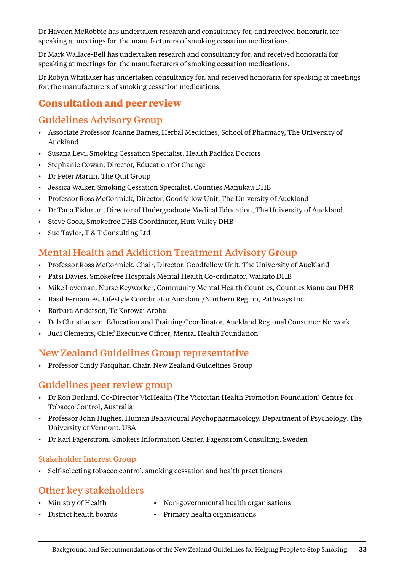Dr Hayden McRobbie has undertaken research and consultancy for, and received honoraria for speaking at meetings for, the manufacturers of smoking cessation medications.

Dr Mark Wallace-Bell has undertaken research and consultancy for, and received honoraria for speaking at meetings for, the manufacturers of smoking cessation medications.

Dr Robyn Whittaker has undertaken consultancy for, and received honoraria for speaking at meetings for, the manufacturers of smoking cessation medications.

#### **Consultation and peer review**

#### Guidelines Advisory Group

- • Associate Professor Joanne Barnes, Herbal Medicines, School of Pharmacy, The University of Auckland
- • Susana Levi, Smoking Cessation Specialist, Health Pacifica Doctors
- • Stephanie Cowan, Director, Education for Change
- • Dr Peter Martin, The Quit Group
- • Jessica Walker, Smoking Cessation Specialist, Counties Manukau DHB
- • Professor Ross McCormick, Director, Goodfellow Unit, The University of Auckland
- • Dr Tana Fishman, Director of Undergraduate Medical Education, The University of Auckland
- • Steve Cook, Smokefree DHB Coordinator, Hutt Valley DHB
- • Sue Taylor, T & T Consulting Ltd

#### Mental Health and Addiction Treatment Advisory Group

- • Professor Ross McCormick, Chair, Director, Goodfellow Unit, The University of Auckland
- • Patsi Davies, Smokefree Hospitals Mental Health Co-ordinator, Waikato DHB
- Mike Loveman, Nurse Keyworker, Community Mental Health Counties, Counties Manukau DHB
- • Basil Fernandes, Lifestyle Coordinator Auckland/Northern Region, Pathways Inc.
- • Barbara Anderson, Te Korowai Aroha
- • Deb Christiansen, Education and Training Coordinator, Auckland Regional Consumer Network
- • Judi Clements, Chief Executive Officer, Mental Health Foundation

#### New Zealand Guidelines Group representative

• Professor Cindy Farquhar, Chair, New Zealand Guidelines Group

#### Guidelines peer review group

- • Dr Ron Borland, Co-Director VicHealth (The Victorian Health Promotion Foundation) Centre for Tobacco Control, Australia
- • Professor John Hughes, Human Behavioural Psychopharmacology, Department of Psychology, The University of Vermont, USA
- • Dr Karl Fagerström, Smokers Information Center, Fagerström Consulting, Sweden

#### Stakeholder Interest Group

• Self-selecting tobacco control, smoking cessation and health practitioners

#### Other key stakeholders

- 
- Ministry of Health Non-governmental health organisations
- District health boards Primary health organisations
-